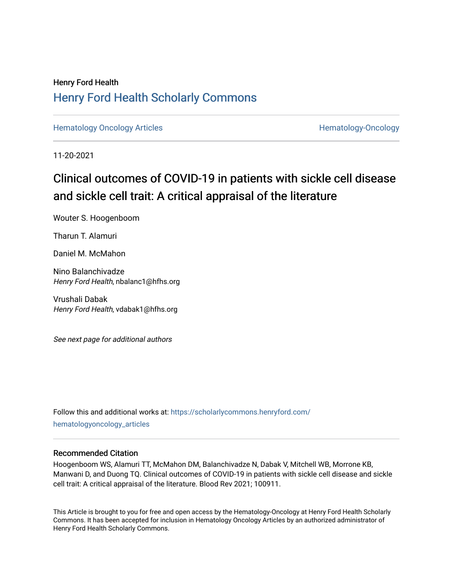# Henry Ford Health [Henry Ford Health Scholarly Commons](https://scholarlycommons.henryford.com/)

[Hematology Oncology Articles](https://scholarlycommons.henryford.com/hematologyoncology_articles) **Hematology-Oncology** 

11-20-2021

# Clinical outcomes of COVID-19 in patients with sickle cell disease and sickle cell trait: A critical appraisal of the literature

Wouter S. Hoogenboom

Tharun T. Alamuri

Daniel M. McMahon

Nino Balanchivadze Henry Ford Health, nbalanc1@hfhs.org

Vrushali Dabak Henry Ford Health, vdabak1@hfhs.org

See next page for additional authors

Follow this and additional works at: [https://scholarlycommons.henryford.com/](https://scholarlycommons.henryford.com/hematologyoncology_articles?utm_source=scholarlycommons.henryford.com%2Fhematologyoncology_articles%2F215&utm_medium=PDF&utm_campaign=PDFCoverPages) [hematologyoncology\\_articles](https://scholarlycommons.henryford.com/hematologyoncology_articles?utm_source=scholarlycommons.henryford.com%2Fhematologyoncology_articles%2F215&utm_medium=PDF&utm_campaign=PDFCoverPages)

# Recommended Citation

Hoogenboom WS, Alamuri TT, McMahon DM, Balanchivadze N, Dabak V, Mitchell WB, Morrone KB, Manwani D, and Duong TQ. Clinical outcomes of COVID-19 in patients with sickle cell disease and sickle cell trait: A critical appraisal of the literature. Blood Rev 2021; 100911.

This Article is brought to you for free and open access by the Hematology-Oncology at Henry Ford Health Scholarly Commons. It has been accepted for inclusion in Hematology Oncology Articles by an authorized administrator of Henry Ford Health Scholarly Commons.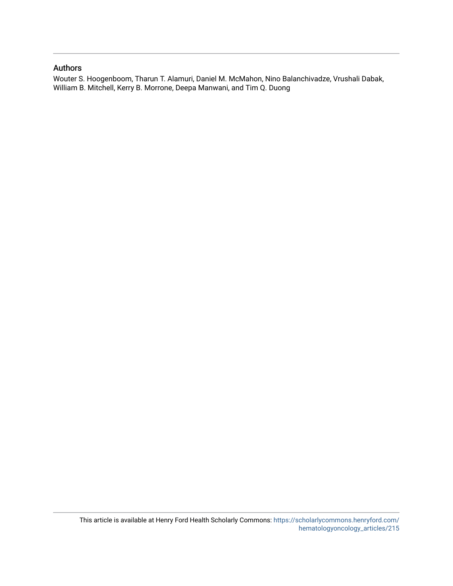# Authors

Wouter S. Hoogenboom, Tharun T. Alamuri, Daniel M. McMahon, Nino Balanchivadze, Vrushali Dabak, William B. Mitchell, Kerry B. Morrone, Deepa Manwani, and Tim Q. Duong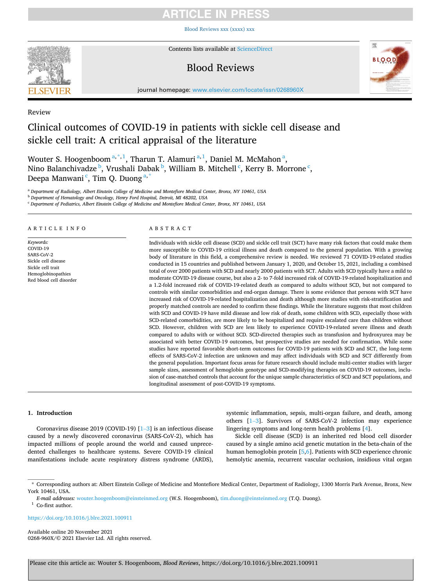# RTICI E IN PRE

[Blood Reviews xxx \(xxxx\) xxx](https://doi.org/10.1016/j.blre.2021.100911)



Contents lists available at [ScienceDirect](www.sciencedirect.com/science/journal/0268960X)

# Blood Reviews



journal homepage: [www.elsevier.com/locate/issn/0268960X](https://www.elsevier.com/locate/issn/0268960X)

# Review

# Clinical outcomes of COVID-19 in patients with sickle cell disease and sickle cell trait: A critical appraisal of the literature

Wouter S. Hoogenboom<sup>a,\*,1</sup>, Tharun T. Alamuri<sup>a,1</sup>, Daniel M. McMahon<sup>a</sup>, Nino Balanchivadze <sup>b</sup>, Vrushali Dabak <sup>b</sup>, William B. Mitchell <sup>c</sup>, Kerry B. Morrone <sup>c</sup>, Deepa Manwani <sup>c</sup>, Tim Q. Duong <sup>a, \*</sup>

<sup>a</sup> *Department of Radiology, Albert Einstein College of Medicine and Montefiore Medical Center, Bronx, NY 10461, USA* 

<sup>b</sup> *Department of Hematology and Oncology, Henry Ford Hospital, Detroit, MI 48202, USA* 

<sup>c</sup> *Department of Pediatrics, Albert Einstein College of Medicine and Montefiore Medical Center, Bronx, NY 10461, USA* 

# ARTICLE INFO

*Keywords:*  COVID-19 SARS-CoV-2 Sickle cell disease Sickle cell trait Hemoglobinopathies Red blood cell disorder

# ABSTRACT

Individuals with sickle cell disease (SCD) and sickle cell trait (SCT) have many risk factors that could make them more susceptible to COVID-19 critical illness and death compared to the general population. With a growing body of literature in this field, a comprehensive review is needed. We reviewed 71 COVID-19-related studies conducted in 15 countries and published between January 1, 2020, and October 15, 2021, including a combined total of over 2000 patients with SCD and nearly 2000 patients with SCT. Adults with SCD typically have a mild to moderate COVID-19 disease course, but also a 2- to 7-fold increased risk of COVID-19-related hospitalization and a 1.2-fold increased risk of COVID-19-related death as compared to adults without SCD, but not compared to controls with similar comorbidities and end-organ damage. There is some evidence that persons with SCT have increased risk of COVID-19-related hospitalization and death although more studies with risk-stratification and properly matched controls are needed to confirm these findings. While the literature suggests that most children with SCD and COVID-19 have mild disease and low risk of death, some children with SCD, especially those with SCD-related comorbidities, are more likely to be hospitalized and require escalated care than children without SCD. However, children with SCD are less likely to experience COVID-19-related severe illness and death compared to adults with or without SCD. SCD-directed therapies such as transfusion and hydroxyurea may be associated with better COVID-19 outcomes, but prospective studies are needed for confirmation. While some studies have reported favorable short-term outcomes for COVID-19 patients with SCD and SCT, the long-term effects of SARS-CoV-2 infection are unknown and may affect individuals with SCD and SCT differently from the general population. Important focus areas for future research should include multi-center studies with larger sample sizes, assessment of hemoglobin genotype and SCD-modifying therapies on COVID-19 outcomes, inclusion of case-matched controls that account for the unique sample characteristics of SCD and SCT populations, and longitudinal assessment of post-COVID-19 symptoms.

# **1. Introduction**

Coronavirus disease 2019 (COVID-19) [1–[3\]](#page-12-0) is an infectious disease caused by a newly discovered coronavirus (SARS-CoV-2), which has impacted millions of people around the world and caused unprecedented challenges to healthcare systems. Severe COVID-19 clinical manifestations include acute respiratory distress syndrome (ARDS),

systemic inflammation, sepsis, multi-organ failure, and death, among others [\[1](#page-12-0)–3]. Survivors of SARS-CoV-2 infection may experience lingering symptoms and long-term health problems [[4](#page-12-0)].

Sickle cell disease (SCD) is an inherited red blood cell disorder caused by a single amino acid genetic mutation in the beta-chain of the human hemoglobin protein [[5,6\]](#page-12-0). Patients with SCD experience chronic hemolytic anemia, recurrent vascular occlusion, insidious vital organ

<https://doi.org/10.1016/j.blre.2021.100911>

Available online 20 November 2021 0268-960X/© 2021 Elsevier Ltd. All rights reserved.

<sup>\*</sup> Corresponding authors at: Albert Einstein College of Medicine and Montefiore Medical Center, Department of Radiology, 1300 Morris Park Avenue, Bronx, New York 10461, USA.

*E-mail addresses:* [wouter.hoogenboom@einsteinmed.org](mailto:wouter.hoogenboom@einsteinmed.org) (W.S. Hoogenboom), [tim.duong@einsteinmed.org](mailto:tim.duong@einsteinmed.org) (T.Q. Duong). 1 Co-first author.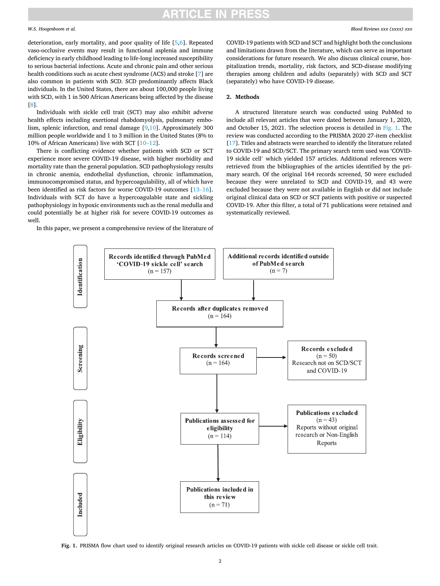# RTICLE IN PRE

### *W.S. Hoogenboom et al.*

deterioration, early mortality, and poor quality of life [\[5,6\]](#page-12-0). Repeated vaso-occlusive events may result in functional asplenia and immune deficiency in early childhood leading to life-long increased susceptibility to serious bacterial infections. Acute and chronic pain and other serious health conditions such as acute chest syndrome (ACS) and stroke [[7](#page-12-0)] are also common in patients with SCD. SCD predominantly affects Black individuals. In the United States, there are about 100,000 people living with SCD, with 1 in 500 African Americans being affected by the disease [[8](#page-12-0)].

Individuals with sickle cell trait (SCT) may also exhibit adverse health effects including exertional rhabdomyolysis, pulmonary embolism, splenic infarction, and renal damage [[9,10](#page-12-0)]. Approximately 300 million people worldwide and 1 to 3 million in the United States (8% to 10% of African Americans) live with SCT [\[10](#page-12-0)–12].

There is conflicting evidence whether patients with SCD or SCT experience more severe COVID-19 disease, with higher morbidity and mortality rate than the general population. SCD pathophysiology results in chronic anemia, endothelial dysfunction, chronic inflammation, immunocompromised status, and hypercoagulability, all of which have been identified as risk factors for worse COVID-19 outcomes [\[13](#page-12-0)–16]. Individuals with SCT do have a hypercoagulable state and sickling pathophysiology in hypoxic environments such as the renal medulla and could potentially be at higher risk for severe COVID-19 outcomes as well.

In this paper, we present a comprehensive review of the literature of

COVID-19 patients with SCD and SCT and highlight both the conclusions and limitations drawn from the literature, which can serve as important considerations for future research. We also discuss clinical course, hospitalization trends, mortality, risk factors, and SCD-disease modifying therapies among children and adults (separately) with SCD and SCT (separately) who have COVID-19 disease.

#### **2. Methods**

A structured literature search was conducted using PubMed to include all relevant articles that were dated between January 1, 2020, and October 15, 2021. The selection process is detailed in Fig. 1. The review was conducted according to the PRISMA 2020 27-item checklist [[17\]](#page-12-0). Titles and abstracts were searched to identify the literature related to COVID-19 and SCD/SCT. The primary search term used was 'COVID-19 sickle cell' which yielded 157 articles. Additional references were retrieved from the bibliographies of the articles identified by the primary search. Of the original 164 records screened, 50 were excluded because they were unrelated to SCD and COVID-19, and 43 were excluded because they were not available in English or did not include original clinical data on SCD or SCT patients with positive or suspected COVID-19. After this filter, a total of 71 publications were retained and systematically reviewed.



**Fig. 1.** PRISMA flow chart used to identify original research articles on COVID-19 patients with sickle cell disease or sickle cell trait.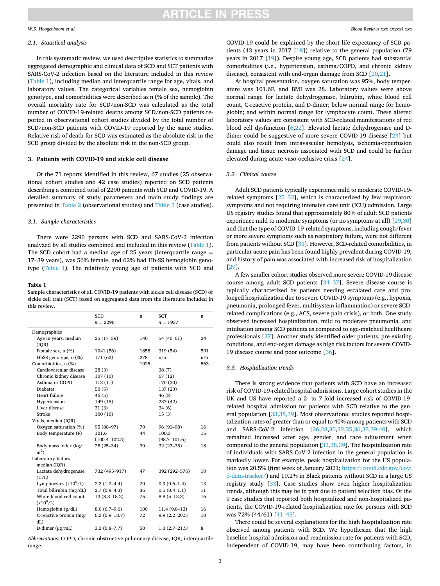### <span id="page-4-0"></span>*W.S. Hoogenboom et al.*

# *2.1. Statistical analysis*

In this systematic review, we used descriptive statistics to summarize aggregated demographic and clinical data of SCD and SCT patients with SARS-CoV-2 infection based on the literature included in this review (Table 1), including median and interquartile range for age, vitals, and laboratory values. The categorical variables female sex, hemoglobin genotype, and comorbidities were described as n (% of the sample). The overall mortality rate for SCD/non-SCD was calculated as the total number of COVID-19-related deaths among SCD/non-SCD patients reported in observational cohort studies divided by the total number of SCD/non-SCD patients with COVID-19 reported by the same studies. Relative risk of death for SCD was estimated as the absolute risk in the SCD group divided by the absolute risk in the non-SCD group.

# **3. Patients with COVID-19 and sickle cell disease**

Of the 71 reports identified in this review, 67 studies (25 observational cohort studies and 42 case studies) reported on SCD patients describing a combined total of 2290 patients with SCD and COVID-19. A detailed summary of study parameters and main study findings are presented in [Table 2](#page-5-0) (observational studies) and [Table 3](#page-7-0) (case studies).

#### *3.1. Sample characteristics*

There were 2290 persons with SCD and SARS-CoV-2 infection analyzed by all studies combined and included in this review (Table 1). The SCD cohort had a median age of 25 years (interquartile range  $=$ 17–39 years), was 56% female, and 62% had Hb-SS hemoglobin genotype (Table 1). The relatively young age of patients with SCD and

### **Table 1**

Sample characteristics of all COVID-19 patients with sickle cell disease (SCD) or sickle cell trait (SCT) based on aggregated data from the literature included in this review.

|                                      | <b>SCD</b>        | n    | <b>SCT</b>        | n   |
|--------------------------------------|-------------------|------|-------------------|-----|
|                                      | $n = 2290$        |      | $n = 1937$        |     |
|                                      |                   |      |                   |     |
| Demographics<br>Age in years, median | $25(17-39)$       | 140  | $54(40-61)$       | 24  |
| ( IQR)                               |                   |      |                   |     |
| Female sex, $n$ $(\%)$               | 1041 (56)         | 1858 | 319 (54)          | 591 |
| HbSS genotype, n (%)                 | 171 (62)          | 278  | n/a               | n/a |
| Comorbidities, n (%)                 |                   | 1025 |                   | 563 |
| Cardiovascular disease               | 28(3)             |      | 38(7)             |     |
| Chronic kidney disease               | 107(10)           |      | 67 (12)           |     |
| Asthma or COPD                       | 113 (11)          |      | 170 (30)          |     |
| <b>Diabetes</b>                      | 50(5)             |      | 137 (23)          |     |
| Heart failure                        | 46(5)             |      | 46(8)             |     |
| Hypertension                         | 149 (15)          |      | 237 (42)          |     |
| Liver disease                        | 31(3)             |      | 34(6)             |     |
| Stroke                               | 100(10)           |      | 15(3)             |     |
| Vitals, median (IQR)                 |                   |      |                   |     |
| Oxygen saturation (%)                | 95 (88-97)        | 70   | $96(91-98)$       | 16  |
| Body temperature (F)                 | 101.6             | 44   | 100.3             | 15  |
|                                      | $(100.4 - 102.3)$ |      | $(98.7 - 101.6)$  |     |
| Body mass index (kg/                 | $28(25-34)$       | 30   | $32(27-35)$       | 18  |
| m <sup>2</sup>                       |                   |      |                   |     |
| Laboratory Values,                   |                   |      |                   |     |
| median (IQR)                         |                   |      |                   |     |
| Lactate dehydrogenase<br>(U/L)       | 732 (495-917)     | 47   | 392 (292-576)     | 10  |
| Lymphocytes $(x10^9/L)$              | $2.3(1.2-4.4)$    | 70   | $0.9(0.6-1.4)$    | 13  |
| Total bilirubin (mg/dL)              | $2.7(0.9-4.3)$    | 36   | $0.5(0.4-1.1)$    | 11  |
| White blood cell count               | $13(8.3-18.2)$    | 75   | $8.8(5-13.3)$     | 16  |
| $(x10^9/L)$                          |                   |      |                   |     |
| Hemoglobin (g/dL)                    | $8.0(6.7-9.6)$    | 100  | $11.4(9.8-13)$    | 16  |
| C-reactive protein (mg/              | $6.3(0.9-18.7)$   | 72   | $9.9(2.2 - 20.5)$ | 10  |
| dL)                                  |                   |      |                   |     |
| D-dimer $(\mu g/mL)$                 | $3.3(0.8 - 7.7)$  | 50   | $1.3(2.7-21.5)$   | 8   |

*Abbreviations*: COPD, chronic obstructive pulmonary disease; IQR, interquartile range.

COVID-19 could be explained by the short life expectancy of SCD patients (43 years in 2017 [\[18](#page-12-0)]) relative to the general population (79 years in 2017 [\[19\]](#page-12-0)). Despite young age, SCD patients had substantial comorbidities (i.e., hypertension, asthma/COPD, and chronic kidney disease), consistent with end-organ damage from SCD [[20,21](#page-12-0)].

At hospital presentation, oxygen saturation was 95%, body temperature was 101.6F, and BMI was 28. Laboratory values were above normal range for lactate dehydrogenase, bilirubin, white blood cell count, C-reactive protein, and D-dimer; below normal range for hemoglobin; and within normal range for lymphocyte count. These altered laboratory values are consistent with SCD-related manifestations of red blood cell dysfunction [[6](#page-12-0),[22\]](#page-12-0). Elevated lactate dehydrogenase and Ddimer could be suggestive of more severe COVID-19 disease [[23\]](#page-12-0) but could also result from intravascular hemolysis, ischemia-reperfusion damage and tissue necrosis associated with SCD and could be further elevated during acute vaso-occlusive crisis [\[24](#page-12-0)].

# *3.2. Clinical course*

Adult SCD patients typically experience mild to moderate COVID-19 related symptoms [\[25](#page-12-0)–32], which is characterized by few respiratory symptoms and not requiring intensive care unit (ICU) admission. Large US registry studies found that approximately 80% of adult SCD patients experience mild to moderate symptoms (or no symptoms at all) [\[29,30](#page-12-0)] and that the type of COVID-19-related symptoms, including cough/fever or more severe symptoms such as respiratory failure, were not different from patients without SCD [\[33](#page-12-0)]. However, SCD-related comorbidities, in particular acute pain has been found highly prevalent during COVID-19, and history of pain was associated with increased risk of hospitalization [[29\]](#page-12-0).

A few smaller cohort studies observed more severe COVID-19 disease course among adult SCD patients [\[34](#page-12-0)–37]. Severe disease course is typically characterized by patients needing escalated care and prolonged hospitalization due to severe COVID-19 symptoms (e.g., hypoxia, pneumonia, prolonged fever, multisystem inflammation) or severe SCDrelated complications (e.g., ACS, severe pain crisis), or both. One study observed increased hospitalization, mild to moderate pneumonia, and intubation among SCD patients as compared to age-matched healthcare professionals [[37\]](#page-12-0). Another study identified older patients, pre-existing conditions, and end-organ damage as high risk factors for severe COVID-19 disease course and poor outcome [[36\]](#page-12-0).

# *3.3. Hospitalization trends*

There is strong evidence that patients with SCD have an increased risk of COVID-19-related hospital admissions. Large cohort studies in the UK and US have reported a 2- to 7-fold increased risk of COVID-19 related hospital admission for patients with SCD relative to the general population [[33,38,39](#page-12-0)]. Most observational studies reported hospitalization rates of greater than or equal to 40% among patients with SCD and SARS-CoV-2 infection [\[26,28](#page-12-0),[30,32,35,36](#page-12-0),[33,39,40\]](#page-12-0), which remained increased after age, gender, and race adjustment when compared to the general population [\[33,38,39](#page-12-0)]. The hospitalization rate of individuals with SARS-CoV-2 infection in the general population is markedly lower. For example, peak hospitalization for the US population was 20.5% (first week of January 2021; [https://covid.cdc.gov/covi](https://covid.cdc.gov/covid-data-tracker/)  [d-data-tracker/](https://covid.cdc.gov/covid-data-tracker/)) and 19.2% in Black patients without SCD in a large US registry study [\[33](#page-12-0)]. Case studies show even higher hospitalization trends, although this may be in part due to patient selection bias. Of the 9 case studies that reported both hospitalized and non-hospitalized patients, the COVID-19-related hospitalization rate for persons with SCD was 72% (44/61) [\[41](#page-12-0)–45].

There could be several explanations for the high hospitalization rate observed among patients with SCD. We hypothesize that the high baseline hospital admission and readmission rate for patients with SCD, independent of COVID-19, may have been contributing factors, in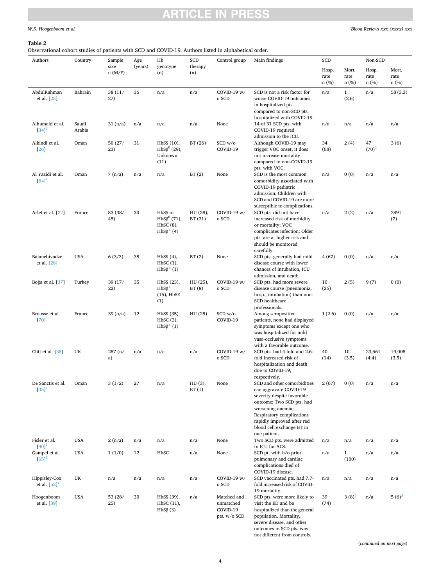# <span id="page-5-0"></span>*W.S. Hoogenboom et al.*

# **Table 2**

Observational cohort studies of patients with SCD and COVID-19. Authors listed in alphabetical order.

| Authors<br>Country                                          |                 | Sample         | Age     | Hb                                                                 | SCD                 | Control group                                        | Main findings                                                                                                                                                                                                                                                  | SCD                   |                        | Non-SCD                  |                       |
|-------------------------------------------------------------|-----------------|----------------|---------|--------------------------------------------------------------------|---------------------|------------------------------------------------------|----------------------------------------------------------------------------------------------------------------------------------------------------------------------------------------------------------------------------------------------------------------|-----------------------|------------------------|--------------------------|-----------------------|
|                                                             |                 | size<br>n(M/F) | (years) | genotype<br>(n)                                                    | therapy<br>(n)      |                                                      |                                                                                                                                                                                                                                                                | Hosp.<br>rate<br>n(%) | Mort.<br>rate<br>n (%) | Hosp.<br>rate<br>$n$ (%) | Mort.<br>rate<br>n(%) |
| AbdulRahman<br>et al. [25]                                  | Bahrain         | 38 (11/<br>27) | 36      | n/a                                                                | n/a                 | COVID-19 w/<br>o SCD                                 | SCD is not a risk factor for<br>worse COVID-19 outcomes<br>in hospitalized pts.<br>compared to non-SCD pts.<br>hospitalized with COVID-19.                                                                                                                     | n/a                   | $\mathbf{1}$<br>(2.6)  | n/a                      | 58(3.3)               |
| Alhumaid et al.<br>$[34]$ <sup>1</sup>                      | Saudi<br>Arabia | 31 (n/a)       | n/a     | n/a                                                                | n/a                 | None                                                 | 14 of 31 SCD pts. with<br>COVID-19 required<br>admission to the ICU.                                                                                                                                                                                           | n/a                   | n/a                    | n/a                      | n/a                   |
| Alkindi et al.<br>$[26]$                                    | Oman            | 50 (27/<br>23) | 31      | HbSS (10),<br>$HbS\beta^0$ (29),<br>Unknown<br>(11)                | BT (26)             | SCD w/o<br>COVID-19                                  | Although COVID-19 may<br>trigger VOC onset, it does<br>not increase mortality<br>compared to non-COVID-19<br>pts. with VOC.                                                                                                                                    | 34<br>(68)            | 2(4)                   | 47<br>$(70)^2$           | 3(6)                  |
| Al Yazidi et al.<br>[64]                                    | Oman            | 7(n/a)         | n/a     | n/a                                                                | BT(2)               | None                                                 | SCD is the most common<br>comorbidity associated with<br>COVID-19 pediatric<br>admission. Children with<br>SCD and COVID-19 are more<br>susceptible to complications.                                                                                          | n/a                   | 0(0)                   | n/a                      | n/a                   |
| Arlet et al. [27]                                           | France          | 83 (38/<br>45) | 30      | HbSS or<br>$HbS\beta^{0}$ (71),<br>$HbSC(8)$ ,<br>$HbS\beta^+$ (4) | HU (38),<br>BT (31) | COVID-19 w/<br>o SCD                                 | SCD pts. did not have<br>increased risk of morbidity<br>or mortality; VOC<br>complicates infection; Older<br>pts. are at higher risk and<br>should be monitored<br>carefully.                                                                                  | n/a                   | 2(2)                   | n/a                      | 2891<br>(7)           |
| Balanchivadze<br>et al. [28]                                | <b>USA</b>      | 6(3/3)         | 38      | HbSS(4),<br>HbSC(1),<br>$HbS\beta^+(1)$                            | BT(2)               | None                                                 | SCD pts. generally had mild<br>disease course with lower<br>chances of intubation, ICU<br>admission, and death.                                                                                                                                                | 4(67)                 | 0(0)                   | n/a                      | n/a                   |
| Boga et al. [37]                                            | Turkey          | 39 (17/<br>22) | 35      | HbSS (23),<br>$HbS\beta^+$<br>$(15)$ , HbSE<br>(1)                 | HU (25),<br>BT(8)   | COVID-19 w/<br>o SCD                                 | SCD pts. had more severe<br>disease course (pneumonia,<br>hosp., intubation) than non-<br>SCD healthcare<br>professionals.                                                                                                                                     | 10<br>(26)            | 2(5)                   | 9(7)                     | 0(0)                  |
| Brousse et al.<br>[70]                                      | France          | 39(n/a)        | 12      | HbSS (35),<br>$HbSC(3)$ ,<br>$HbS\beta^+(1)$                       | HU (25)             | SCD w/o<br>COVID-19                                  | Among seropositive<br>patients, none had displayed<br>symptoms except one who<br>was hospitalized for mild<br>vaso-occlusive symptoms<br>with a favorable outcome.                                                                                             | 1(2.6)                | 0(0)                   | n/a                      | n/a                   |
| Clift et al. [38]                                           | UK              | 287 (n/<br>a)  | n/a     | n/a                                                                | n/a                 | COVID-19 w/<br>o SCD                                 | SCD pts. had 4-fold and 2.6-<br>fold increased risk of<br>hospitalization and death<br>due to COVID-19,                                                                                                                                                        | 40<br>(14)            | 10<br>(3.5)            | 23,561<br>(4.4)          | 19,008<br>(3.5)       |
| De Sanctis et al.<br>$[35]$ <sup>1</sup>                    | Oman            | 3(1/2)         | 27      | n/a                                                                | HU (3),<br>BT(1)    | None                                                 | respectively.<br>SCD and other comorbidities<br>can aggravate COVID-19<br>severity despite favorable<br>outcome; Two SCD pts. had<br>worsening anemia;<br>Respiratory complications<br>rapidly improved after red<br>blood cell exchange BT in<br>one patient. | 2(67)                 | 0(0)                   | n/a                      | n/a                   |
| Fisler et al.                                               | <b>USA</b>      | 2(n/a)         | n/a     | n/a                                                                | n/a                 | None                                                 | Two SCD pts. were admitted                                                                                                                                                                                                                                     | n/a                   | n/a                    | n/a                      | n/a                   |
| $[90]$ <sup>1</sup><br>Gampel et al.<br>$[65]$ <sup>1</sup> | <b>USA</b>      | 1(1/0)         | 12      | HbSC                                                               | n/a                 | None                                                 | to ICU for ACS.<br>SCD pt. with h/o prior<br>pulmonary and cardiac<br>complications died of<br>COVID-19 disease.                                                                                                                                               | n/a                   | $\mathbf{1}$<br>(100)  | n/a                      | n/a                   |
| Hippisley-Cox<br>et al. $[52]$ <sup>1</sup>                 | UK              | n/a            | n/a     | n/a                                                                | n/a                 | COVID-19 w/<br>o SCD                                 | SCD vaccinated pts. had 7.7-<br>fold increased risk of COVID-<br>19 mortality.                                                                                                                                                                                 | n/a                   | n/a                    | n/a                      | n/a                   |
| Hoogenboom<br>et al. [39]                                   | <b>USA</b>      | 53 (28/<br>25) | 30      | HbSS (39),<br>HbSC (11),<br>$HbS\beta$ (3)                         | n/a                 | Matched and<br>unmatched<br>COVID-19<br>pts. w/o SCD | SCD pts. were more likely to<br>visit the ED and be<br>hospitalized than the general<br>population. Mortality,<br>severe disease, and other<br>outcomes in SCD pts. was                                                                                        | 39<br>(74)            | $3(8)^{3}$             | n/a                      | $5(6)^3$              |

(*continued on next page*)

not different from controls.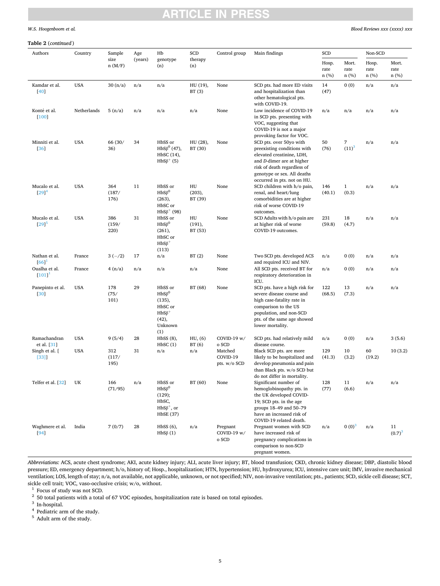# <span id="page-6-0"></span>*W.S. Hoogenboom et al.*

#### **Table 2** (*continued* )

| Authors                     | Country     | Sample               | Age     | Hb                                                                                      | SCD                     | Control group                       | Main findings                                                                                                                                                                                                 | SCD                   |                       | Non-SCD               |                       |
|-----------------------------|-------------|----------------------|---------|-----------------------------------------------------------------------------------------|-------------------------|-------------------------------------|---------------------------------------------------------------------------------------------------------------------------------------------------------------------------------------------------------------|-----------------------|-----------------------|-----------------------|-----------------------|
|                             |             | size<br>n(M/F)       | (years) | genotype<br>(n)                                                                         | therapy<br>(n)          |                                     |                                                                                                                                                                                                               | Hosp.<br>rate<br>n(%) | Mort.<br>rate<br>n(%) | Hosp.<br>rate<br>n(%) | Mort.<br>rate<br>n(%) |
| Kamdar et al.<br>$[40]$     | <b>USA</b>  | 30 (n/a)             | n/a     | n/a                                                                                     | HU (19),<br>BT(3)       | None                                | SCD pts. had more ED visits<br>and hospitalization than<br>other hematological pts.<br>with COVID-19.                                                                                                         | 14<br>(47)            | 0(0)                  | n/a                   | n/a                   |
| Konté et al.<br>$[100]$     | Netherlands | 5(n/a)               | n/a     | n/a                                                                                     | n/a                     | None                                | Low incidence of COVID-19<br>in SCD pts. presenting with<br>VOC, suggesting that<br>COVID-19 is not a major<br>provoking factor for VOC.                                                                      | n/a                   | n/a                   | n/a                   | n/a                   |
| Minniti et al.<br>[36]      | <b>USA</b>  | 66 (30/<br>36)       | 34      | HbSS or<br>$HbS\beta^{0}$ (47),<br>HbSC (14),<br>$HbS\beta^+$ (5)                       | HU (28),<br>BT (30)     | None                                | SCD pts. over 50yo with<br>preexisting conditions with<br>elevated creatinine, LDH,<br>and D-dimer are at higher<br>risk of death regardless of<br>genotype or sex. All deaths<br>occurred in pts. not on HU. | 50<br>(76)            | 7<br>$(11)^3$         | n/a                   | n/a                   |
| Mucalo et al.<br>$[29]^{4}$ | <b>USA</b>  | 364<br>(187/<br>176) | 11      | HbSS or<br>$HbS\beta^0$<br>(263),<br>HbSC or<br>$HbS\beta^+$ (98)                       | HU<br>(203),<br>BT (39) | None                                | SCD children with h/o pain,<br>renal, and heart/lung<br>comorbidities are at higher<br>risk of worse COVID-19<br>outcomes.                                                                                    | 146<br>(40.1)         | $\mathbf{1}$<br>(0.3) | n/a                   | n/a                   |
| Mucalo et al.<br>[29]       | <b>USA</b>  | 386<br>(159/<br>220) | 31      | HbSS or<br>$HbS\beta^0$<br>(261),<br>HbSC or<br>$HbS\beta^+$<br>(113)                   | HU<br>(191),<br>BT (53) | None                                | SCD Adults with h/o pain are<br>at higher risk of worse<br>COVID-19 outcomes.                                                                                                                                 | 231<br>(59.8)         | 18<br>(4.7)           | n/a                   | n/a                   |
| Nathan et al.<br>[66]       | France      | $3(-/2)$             | 17      | n/a                                                                                     | BT(2)                   | None                                | Two SCD pts. developed ACS<br>and required ICU and NIV.                                                                                                                                                       | n/a                   | 0(0)                  | n/a                   | n/a                   |
| Oualha et al.<br>[101]      | France      | 4(n/a)               | n/a     | n/a                                                                                     | n/a                     | None                                | All SCD pts. received BT for<br>respiratory deterioration in<br>ICU.                                                                                                                                          | n/a                   | 0(0)                  | n/a                   | n/a                   |
| Panepinto et al.<br>[30]    | <b>USA</b>  | 178<br>(75/<br>101)  | 29      | HbSS or<br>$HbS\beta^0$<br>(135),<br>HbSC or<br>$HbS\beta^+$<br>(42),<br>Unknown<br>(1) | BT (68)                 | None                                | SCD pts. have a high risk for<br>severe disease course and<br>high case-fatality rate in<br>comparison to the US<br>population, and non-SCD<br>pts. of the same age showed<br>lower mortality.                | 122<br>(68.5)         | 13<br>(7.3)           | n/a                   | n/a                   |
| Ramachandran<br>et al. [31] | <b>USA</b>  | 9(5/4)               | 28      | HbSS(8),<br>HbSC(1)                                                                     | HU, (6)<br>BT(6)        | COVID-19 $w/$<br>o SCD              | SCD pts. had relatively mild<br>disease course.                                                                                                                                                               | n/a                   | 0(0)                  | n/a                   | 3(5.6)                |
| Singh et al. [<br>$[33]$    | <b>USA</b>  | 312<br>(117/<br>195) | 31      | n/a                                                                                     | n/a                     | Matched<br>COVID-19<br>pts. w/o SCD | Black SCD pts. are more<br>likely to be hospitalized and<br>develop pneumonia and pain<br>than Black pts. w/o SCD but<br>do not differ in mortality.                                                          | 129<br>(41.3)         | 10<br>(3.2)           | 60<br>(19.2)          | 10(3.2)               |
| Telfer et al. [32]          | UK          | 166<br>(71/95)       | n/a     | HbSS or<br>$HbS\beta^0$<br>(129);<br>HbSC,<br>$HbS\beta^+$ , or<br><b>HbSE</b> (37)     | BT (60)                 | None                                | Significant number of<br>hemoglobinopathy pts. in<br>the UK developed COVID-<br>19; SCD pts. in the age<br>groups 18-49 and 50-79<br>have an increased risk of<br>COVID-19 related death.                     | 128<br>(77)           | 11<br>(6.6)           | n/a                   | n/a                   |
| Waghmere et al.<br>$[94]$   | India       | 7(0/7)               | 28      | $HbSS(6)$ ,<br>$HbS\beta(1)$                                                            | n/a                     | Pregnant<br>COVID-19 w/<br>o SCD    | Pregnant women with SCD<br>have increased risk of<br>pregnancy complications in<br>comparison to non-SCD<br>pregnant women.                                                                                   | n/a                   | $0(0)^3$              | n/a                   | 11<br>$(0.7)^3$       |

*Abbreviations:* ACS, acute chest syndrome; AKI, acute kidney injury; ALI, acute liver injury; BT, blood transfusion; CKD, chronic kidney disease; DBP, diastolic blood pressure; ED, emergency department; h/o, history of; Hosp., hospitalization; HTN, hypertension; HU, hydroxyurea; ICU, intensive care unit; IMV, invasive mechanical ventilation; LOS, length of stay; n/a, not available, not applicable, unknown, or not specified; NIV, non-invasive ventilation; pts., patients; SCD, sickle cell disease; SCT, sickle cell disease; SCT, sickle cell trait; VO

 $^1\,$  Focus of study was not SCD.  $^2\,$  50 total patients with a total of 67 VOC episodes, hospitalization rate is based on total episodes.  $^3\,$  In-hospital.  $^4\,$  Pediatric arm of the study.  $^5\,$  Adult arm of the

5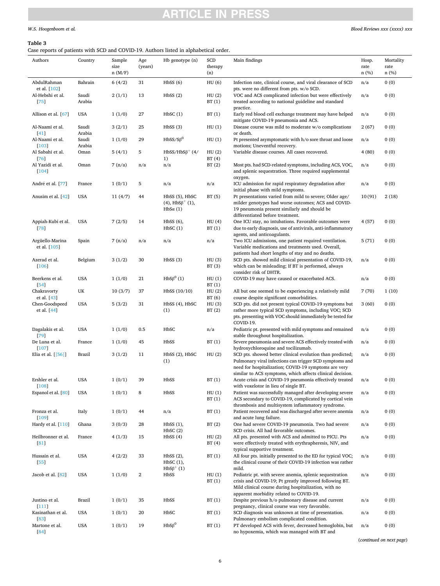# <span id="page-7-0"></span>**Table 3**

Case reports of patients with SCD and COVID-19. Authors listed in alphabetical order.

| Authors                         | Country         | Sample<br>size | Age<br>(years) | Hb genotype (n)                                                  | SCD<br>therapy | Main findings                                                                                                                                                                                                                             | Hosp.<br>rate | Mortality<br>rate |
|---------------------------------|-----------------|----------------|----------------|------------------------------------------------------------------|----------------|-------------------------------------------------------------------------------------------------------------------------------------------------------------------------------------------------------------------------------------------|---------------|-------------------|
|                                 |                 | n(M/F)         |                |                                                                  | (n)            |                                                                                                                                                                                                                                           | n(%)          | n(%)              |
| AbdulRahman<br>et al. [102]     | Bahrain         | 6(4/2)         | 31             | HbSS(6)                                                          | HU (6)         | Infection rate, clinical course, and viral clearance of SCD<br>pts. were no different from pts. w/o SCD.                                                                                                                                  | n/a           | 0(0)              |
| Al-Hebshi et al.<br>$[75]$      | Saudi<br>Arabia | 2(1/1)         | 13             | HbSS(2)                                                          | HU(2)<br>BT(1) | VOC and ACS complicated infection but were effectively<br>treated according to national guideline and standard<br>practice.                                                                                                               | n/a           | 0(0)              |
| Allison et al. [67]             | <b>USA</b>      | 1(1/0)         | 27             | HbSC(1)                                                          | BT(1)          | Early red blood cell exchange treatment may have helped<br>mitigate COVID-19 pneumonia and ACS.                                                                                                                                           | n/a           | 0(0)              |
| Al-Naami et al.<br>$[41]$       | Saudi<br>Arabia | 3(2/1)         | 25             | HbSS(3)                                                          | HU(1)          | Disease course was mild to moderate w/o complications<br>or death.                                                                                                                                                                        | 2(67)         | 0(0)              |
| Al-Naami et al.<br>$[103]$      | Saudi<br>Arabia | 1(1/0)         | 29             | $HbSS/S\beta^0$                                                  | HU(1)          | Pt presented asymptomatic with h/o sore throat and loose<br>motions; Uneventful recovery.                                                                                                                                                 | n/a           | 0(0)              |
| Al Sabahi et al.<br>[76]        | Oman            | 5(4/1)         | 5              | $HbSS/HbS\beta^+$ (4/<br>1)                                      | HU(2)<br>BT(4) | Variable disease courses. All cases recovered.                                                                                                                                                                                            | 4(80)         | 0(0)              |
| Al Yazidi et al.<br>$[104]$     | Oman            | 7(n/a)         | n/a            | n/a                                                              | BT(2)          | Most pts. had SCD-related symptoms, including ACS, VOC,<br>and splenic sequestration. Three required supplemental<br>oxygen.                                                                                                              | n/a           | 0(0)              |
| André et al. [77]               | France          | 1(0/1)         | 5              | n/a                                                              | n/a            | ICU admission for rapid respiratory degradation after<br>initial phase with mild symptoms.                                                                                                                                                | n/a           | 0(0)              |
| Anusim et al. [42]              | <b>USA</b>      | 11(4/7)        | 44             | HbSS (5), HbSC<br>$(4)$ , HbS $\beta^{+}(1)$ ,<br>$HbS\alpha(1)$ | BT(5)          | Pt presentations varied from mild to severe; Older age/<br>milder genotypes had worse outcomes; ACS and COVID-<br>19 pneumonia present similarly and should be<br>differentiated before treatment.                                        | 10(91)        | 2(18)             |
| Appiah-Kubi et al.<br>[78]      | <b>USA</b>      | 7(2/5)         | 14             | $HbSS(6)$ ,<br>HbSC(1)                                           | HU(4)<br>BT(1) | One ICU stay, no intubations. Favorable outcomes were<br>due to early diagnosis, use of antivirals, anti-inflammatory<br>agents, and anticoagulants.                                                                                      | 4(57)         | 0(0)              |
| Argüello-Marina<br>et al. [105] | Spain           | 7(n/a)         | n/a            | n/a                                                              | n/a            | Two ICU admissions, one patient required ventilation.<br>Variable medications and treatments used. Overall,<br>patients had short lengths of stay and no deaths.                                                                          | 5(71)         | 0(0)              |
| Azerad et al.<br>$[106]$        | Belgium         | 3(1/2)         | 30             | HbSS(3)                                                          | HU(3)<br>BT(3) | SCD pts. showed mild clinical presentation of COVID-19,<br>which can be misleading; If BT is performed, always<br>consider risk of DHTR.                                                                                                  |               | 0(0)              |
| Beerkens et al.<br>$[54]$       | <b>USA</b>      | 1(1/0)         | 21             | $HbS\beta^0(1)$                                                  | HU(1)<br>BT(1) | COVID-19 may have caused or exacerbated ACS.                                                                                                                                                                                              | n/a           | 0(0)              |
| Chakravorty<br>et al. [43]      | UK              | 10(3/7)        | 37             | HbSS (10/10)                                                     | HU(2)<br>BT(6) | All but one seemed to be experiencing a relatively mild<br>course despite significant comorbidities.                                                                                                                                      | 7(70)         | 1(10)             |
| Chen-Goodspeed<br>et al. [44]   | <b>USA</b>      | 5(3/2)         | 31             | HbSS (4), HbSC<br>(1)                                            | HU(3)<br>BT(2) | SCD pts. did not present typical COVID-19 symptoms but<br>rather more typical SCD symptoms, including VOC; SCD<br>pts. presenting with VOC should immediately be tested for<br>COVID-19.                                                  | 3(60)         | 0(0)              |
| Dagalakis et al.<br>[79]        | <b>USA</b>      | 1(1/0)         | 0.5            | HbSC                                                             | n/a            | Pediatric pt. presented with mild symptoms and remained<br>stable throughout hospitalization.                                                                                                                                             | n/a           | 0(0)              |
| De Luna et al.<br>$[107]$       | France          | 1(1/0)         | 45             | HbSS                                                             | BT(1)          | Severe pneumonia and severe ACS effectively treated with<br>hydroxychloroquine and tocilizumab.                                                                                                                                           | n/a           | 0(0)              |
| Elia et al. [[56]]              | Brazil          | 3(1/2)         | 11             | HbSS (2), HbSC<br>(1)                                            | HU(2)          | SCD pts. showed better clinical evolution than predicted;<br>Pulmonary viral infections can trigger SCD symptoms and<br>need for hospitalization; COVID-19 symptoms are very<br>similar to ACS symptoms, which affects clinical decision. | n/a           | 0(0)              |
| Ershler et al.<br>[108]         | <b>USA</b>      | 1(0/1)         | 39             | HbSS                                                             | BT(1)          | Acute crisis and COVID-19 pneumonia effectively treated<br>with voxelotor in lieu of single BT.                                                                                                                                           | n/a           | 0(0)              |
| Espanol et al. [80]             | <b>USA</b>      | 1(0/1)         | 8              | HbSS                                                             | HU(1)<br>BT(1) | Patient was successfully managed after developing severe<br>ACS secondary to COVID-19, complicated by cortical vein<br>thrombosis and multisystem inflammatory syndrome.                                                                  | n/a           | 0(0)              |
| Fronza et al.<br>$[109]$        | Italy           | 1(0/1)         | 44             | n/a                                                              | BT(1)          | Patient recovered and was discharged after severe anemia<br>and acute lung failure.                                                                                                                                                       | n/a           | 0(0)              |
| Hardy et al. [110]              | Ghana           | 3(0/3)         | 28             | HbSS(1),<br>HbSC(2)                                              | BT(2)          | One had severe COVID-19 pneumonia. Two had severe<br>SCD crisis. All had favorable outcomes.                                                                                                                                              | n/a           | 0(0)              |
| Heilbronner et al.<br>[81]      | France          | 4(1/3)         | 15             | HbSS(4)                                                          | HU(2)<br>BT(4) | All pts. presented with ACS and admitted to PICU. Pts<br>were effectively treated with erythrapheresis, NIV, and<br>typical supportive treatment.                                                                                         | n/a           | 0(0)              |
| Hussain et al.<br>[55]          | <b>USA</b>      | 4(2/2)         | 33             | HbSS(2),<br>HbSC(1),<br>$HbS\beta^+(1)$                          | BT(1)          | All four pts. initially presented to the ED for typical VOC;<br>the clinical course of their COVID-19 infection was rather<br>mild.                                                                                                       | n/a           | 0(0)              |
| Jacob et al. [82]               | <b>USA</b>      | 1(1/0)         | 2              | HbSS                                                             | HU(1)<br>BT(1) | Pediatric pt. with severe anemia, splenic sequestration<br>crisis and COVID-19; Pt greatly improved following BT.<br>Mild clinical course during hospitalization, with no<br>apparent morbidity related to COVID-19.                      | n/a           | 0(0)              |
| Justino et al.<br>$[111]$       | <b>Brazil</b>   | 1(0/1)         | 35             | HbSS                                                             | BT(1)          | Despite previous h/o pulmonary disease and current<br>pregnancy, clinical course was very favorable.                                                                                                                                      | n/a           | 0(0)              |
| Kasinathan et al.<br>[83]       | <b>USA</b>      | 1(0/1)         | 20             | HbSC                                                             | BT(1)          | SCD diagnosis was unknown at time of presentation.<br>Pulmonary embolism complicated condition.                                                                                                                                           | n/a           | 0(0)              |
| Martone et al.<br>84            | <b>USA</b>      | 1(0/1)         | 19             | $HbS\beta^0$                                                     | BT(1)          | PT developed ACS with fever, decreased hemoglobin, but<br>no hypoxemia, which was managed with BT and                                                                                                                                     | n/a           | 0(0)              |

(*continued on next page*)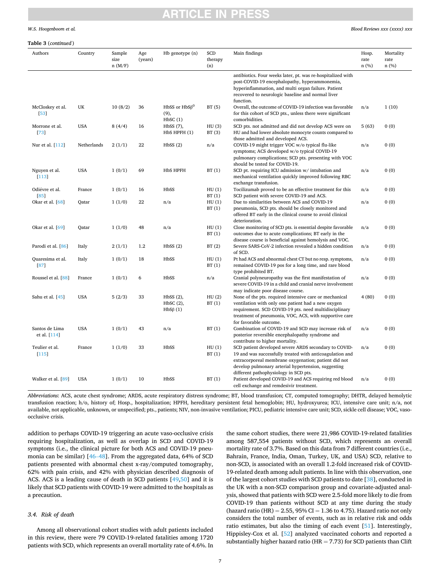# TICI E IN

### *W.S. Hoogenboom et al.*

#### *Blood Reviews xxx (xxxx) xxx*

#### **Table 3** (*continued* )

| Authors                        | Country     | Sample<br>size<br>n(M/F) | Age<br>(years) | Hb genotype (n)                          | SCD<br>therapy<br>(n) | Main findings                                                                                                                                                                                                                                                             | Hosp.<br>rate<br>n (%) | Mortality<br>rate<br>n(%) |
|--------------------------------|-------------|--------------------------|----------------|------------------------------------------|-----------------------|---------------------------------------------------------------------------------------------------------------------------------------------------------------------------------------------------------------------------------------------------------------------------|------------------------|---------------------------|
|                                |             |                          |                |                                          |                       | antibiotics. Four weeks later, pt. was re-hospitalized with<br>post-COVID-19 encephalopathy, hyperammonemia,<br>hyperinflammation, and multi organ failure. Patient<br>recovered to neurologic baseline and normal liver<br>function.                                     |                        |                           |
| McCloskey et al.<br>$[53]$     | UK          | 10(8/2)                  | 36             | HbSS or $HbS\beta^0$<br>(9),<br>HbSC(1)  | BT(5)                 | Overall, the outcome of COVID-19 infection was favorable<br>for this cohort of SCD pts., unless there were significant<br>comorbidities.                                                                                                                                  | n/a                    | 1(10)                     |
| Morrone et al.<br>$[73]$       | <b>USA</b>  | 8(4/4)                   | 16             | $HbSS(7)$ ,<br>HbS HPFH (1)              | HU(3)<br>BT(3)        | SCD pts. not admitted and did not develop ACS were on<br>HU and had lower absolute monocyte counts compared to<br>those admitted and developed ACS.                                                                                                                       | 5(63)                  | 0(0)                      |
| Nur et al. [112]               | Netherlands | 2(1/1)                   | 22             | HbSS(2)                                  | n/a                   | COVID-19 might trigger VOC w/o typical flu-like<br>symptoms; ACS developed w/o typical COVID-19<br>pulmonary complications; SCD pts. presenting with VOC<br>should be tested for COVID-19.                                                                                | n/a                    | 0(0)                      |
| Nguyen et al.<br>[113]         | <b>USA</b>  | 1(0/1)                   | 69             | HbS HPFH                                 | BT(1)                 | SCD pt. requiring ICU admission w/ intubation and<br>mechanical ventilation quickly improved following RBC<br>exchange transfusion.                                                                                                                                       | n/a                    | 0(0)                      |
| Odiévre et al.<br>[85]         | France      | 1(0/1)                   | 16             | HbSS                                     | HU(1)<br>BT(1)        | Tocilizumab proved to be an effective treatment for this<br>SCD patient with severe COVID-19 and ACS.                                                                                                                                                                     | n/a                    | 0(0)                      |
| Okar et al. $[68]$             | Oatar       | 1(1/0)                   | 22             | n/a                                      | HU(1)<br>BT(1)        | Due to similarities between ACS and COVID-19<br>pneumonia, SCD pts. should be closely monitored and<br>offered BT early in the clinical course to avoid clinical<br>deterioration.                                                                                        | n/a                    | 0(0)                      |
| Okar et al. [69]               | Qatar       | 1(1/0)                   | 48             | n/a                                      | HU(1)<br>BT(1)        | Close monitoring of SCD pts. is essential despite favorable<br>outcomes due to acute complications; BT early in the<br>disease course is beneficial against hemolysis and VOC.                                                                                            | n/a                    | 0(0)                      |
| Parodi et al. [86]             | Italy       | 2(1/1)                   | 1.2            | HbSS(2)                                  | BT(2)                 | Severe SARS-CoV-2 infection revealed a hidden condition<br>of SCD.                                                                                                                                                                                                        | n/a                    | 0(0)                      |
| Quaresima et al.<br>[87]       | Italy       | 1(0/1)                   | 18             | HbSS                                     | HU(1)<br>BT(1)        | Pt had ACS and abnormal chest CT but no resp. symptoms,<br>remained COVID-19 pos for a long time, and rare blood<br>type prohibited BT.                                                                                                                                   | n/a                    | 0(0)                      |
| Roussel et al. [88]            | France      | 1(0/1)                   | 6              | HbSS                                     | n/a                   | Cranial polyneuropathy was the first manifestation of<br>severe COVID-19 in a child and cranial nerve involvement<br>may indicate poor disease course.                                                                                                                    | n/a                    | 0(0)                      |
| Sahu et al. [45]               | <b>USA</b>  | 5(2/3)                   | 33             | HbSS(2),<br>$HbSC(2)$ ,<br>$HbS\beta(1)$ | HU(2)<br>BT(1)        | None of the pts. required intensive care or mechanical<br>ventilation with only one patient had a new oxygen<br>requirement. SCD COVID-19 pts. need multidisciplinary<br>treatment of pneumonia, VOC, ACS, with supportive care<br>for favorable outcome.                 | 4(80)                  | 0(0)                      |
| Santos de Lima<br>et al. [114] | <b>USA</b>  | 1(0/1)                   | 43             | n/a                                      | BT(1)                 | Combination of COVID-19 and SCD may increase risk of<br>posterior reversible encephalopathy syndrome and<br>contribute to higher mortality.                                                                                                                               | n/a                    | 0(0)                      |
| Teulier et al.<br>$[115]$      | France      | 1(1/0)                   | 33             | HbSS                                     | HU(1)<br>BT(1)        | SCD patient developed severe ARDS secondary to COVID-<br>19 and was successfully treated with anticoagulation and<br>extracorporeal membrane oxygenation; patient did not<br>develop pulmonary arterial hypertension, suggesting<br>different pathophysiology in SCD pts. | n/a                    | 0(0)                      |
| Walker et al. [89]             | <b>USA</b>  | 1(0/1)                   | 10             | HbSS                                     | BT(1)                 | Patient developed COVID-19 and ACS requiring red blood<br>cell exchange and remdesivir treatment.                                                                                                                                                                         | n/a                    | 0(0)                      |

*Abbreviations*: ACS, acute chest syndrome; ARDS, acute respiratory distress syndrome; BT, blood transfusion; CT, computed tomography; DHTR, delayed hemolytic transfusion reaction; h/o, history of; Hosp., hospitalization; HPFH, hereditary persistent fetal hemoglobin; HU, hydroxyurea; ICU, intensive care unit; n/a, not available, not applicable, unknown, or unspecified; pts., patients; NIV, non-invasive ventilation; PICU, pediatric intensive care unit; SCD, sickle cell disease; VOC, vasoocclusive crisis.

addition to perhaps COVID-19 triggering an acute vaso-occlusive crisis requiring hospitalization, as well as overlap in SCD and COVID-19 symptoms (i.e., the clinical picture for both ACS and COVID-19 pneumonia can be similar) [46–[48\]](#page-12-0). From the aggregated data, 64% of SCD patients presented with abnormal chest x-ray/computed tomography, 62% with pain crisis, and 42% with physician described diagnosis of ACS. ACS is a leading cause of death in SCD patients [\[49,50](#page-12-0)] and it is likely that SCD patients with COVID-19 were admitted to the hospitals as a precaution.

# *3.4. Risk of death*

Among all observational cohort studies with adult patients included in this review, there were 79 COVID-19-related fatalities among 1720 patients with SCD, which represents an overall mortality rate of 4.6%. In the same cohort studies, there were 21,986 COVID-19-related fatalities among 587,554 patients without SCD, which represents an overall mortality rate of 3.7%. Based on this data from 7 different countries (i.e., Bahrain, France, India, Oman, Turkey, UK, and USA) SCD, relative to non-SCD, is associated with an overall 1.2-fold increased risk of COVID-19-related death among adult patients. In line with this observation, one of the largest cohort studies with SCD patients to date [\[38](#page-12-0)], conducted in the UK with a non-SCD comparison group and covariate-adjusted analysis, showed that patients with SCD were 2.5-fold more likely to die from COVID-19 than patients without SCD at any time during the study (hazard ratio (HR) = 2.55, 95% CI = 1.36 to 4.75). Hazard ratio not only considers the total number of events, such as in relative risk and odds ratio estimates, but also the timing of each event [\[51](#page-12-0)]. Interestingly, Hippisley-Cox et al. [\[52](#page-12-0)] analyzed vaccinated cohorts and reported a substantially higher hazard ratio (HR  $=$  7.73) for SCD patients than Clift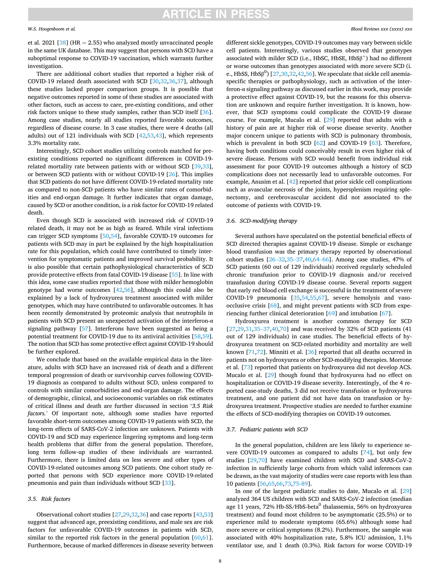#### *W.S. Hoogenboom et al.*

et al. 2021 [\[38](#page-12-0)] (HR  $= 2.55$ ) who analyzed mostly unvaccinated people in the same UK database. This may suggest that persons with SCD have a suboptimal response to COVID-19 vaccination, which warrants further investigation.

There are additional cohort studies that reported a higher risk of COVID-19 related death associated with SCD [\[30,32](#page-12-0),[36](#page-12-0),[37\]](#page-12-0), although these studies lacked proper comparison groups. It is possible that negative outcomes reported in some of these studies are associated with other factors, such as access to care, pre-existing conditions, and other risk factors unique to these study samples, rather than SCD itself [\[36](#page-12-0)]. Among case studies, nearly all studies reported favorable outcomes, regardless of disease course. In 3 case studies, there were 4 deaths (all adults) out of 121 individuals with SCD [\[42,53](#page-12-0),[43\]](#page-12-0), which represents 3.3% mortality rate.

Interestingly, SCD cohort studies utilizing controls matched for preexisting conditions reported no significant differences in COVID-19 related mortality rate between patients with or without SCD [[39,33](#page-12-0)], or between SCD patients with or without COVID-19 [\[26](#page-12-0)]. This implies that SCD patients do not have different COVID-19-related mortality rate as compared to non-SCD patients who have similar rates of comorbidities and end-organ damage. It further indicates that organ damage, caused by SCD or another condition, is a risk factor for COVID-19 related death.

Even though SCD is associated with increased risk of COVID-19 related death, it may not be as high as feared. While viral infections can trigger SCD symptoms [[50,54\]](#page-12-0), favorable COVID-19 outcomes for patients with SCD may in part be explained by the high hospitalization rate for this population, which could have contributed to timely intervention for symptomatic patients and improved survival probability. It is also possible that certain pathophysiological characteristics of SCD provide protective effects from fatal COVID-19 disease [\[55](#page-12-0)]. In line with this idea, some case studies reported that those with milder hemoglobin genotype had worse outcomes [[42,56\]](#page-12-0), although this could also be explained by a lack of hydroxyurea treatment associated with milder genotypes, which may have contributed to unfavorable outcomes. It has been recently demonstrated by proteomic analysis that neutrophils in patients with SCD present an unexpected activation of the interferon- $\alpha$ signaling pathway [[57\]](#page-13-0). Interferons have been suggested as being a potential treatment for COVID-19 due to its antiviral activities [[58,59](#page-13-0)]. The notion that SCD has some protective effect against COVID-19 should be further explored.

We conclude that based on the available empirical data in the literature, adults with SCD have an increased risk of death and a different temporal progression of death or survivorship curves following COVID-19 diagnosis as compared to adults without SCD, unless compared to controls with similar comorbidities and end-organ damage. The effects of demographic, clinical, and socioeconomic variables on risk estimates of critical illness and death are further discussed in section '*3.5 Risk factors.*' Of important note, although some studies have reported favorable short-term outcomes among COVID-19 patients with SCD, the long-term effects of SARS-CoV-2 infection are unknown. Patients with COVID-19 and SCD may experience lingering symptoms and long-term health problems that differ from the general population. Therefore, long term follow-up studies of these individuals are warranted. Furthermore, there is limited data on less severe and other types of COVID-19-related outcomes among SCD patients. One cohort study reported that persons with SCD experience more COVID-19-related pneumonia and pain than individuals without SCD [[33\]](#page-12-0).

### *3.5. Risk factors*

Observational cohort studies [\[27,29](#page-12-0),[32,36\]](#page-12-0) and case reports [\[43,53](#page-12-0)] suggest that advanced age, preexisting conditions, and male sex are risk factors for unfavorable COVID-19 outcomes in patients with SCD, similar to the reported risk factors in the general population  $[60,61]$  $[60,61]$  $[60,61]$ . Furthermore, because of marked differences in disease severity between

different sickle genotypes, COVID-19 outcomes may vary between sickle cell patients. Interestingly, various studies observed that genotypes associated with milder SCD (i.e., HbSC, HbSE,  $HbS\beta^{+}$ ) had no different or worse outcomes than genotypes associated with more severe SCD (i. e., HbSS, HbS $\beta^0$ ) [\[27,30](#page-12-0),[32,42,56](#page-12-0)]. We speculate that sickle cell anemiaspecific therapies or pathophysiology, such as activation of the interferon-α signaling pathway as discussed earlier in this work, may provide a protective effect against COVID-19, but the reasons for this observation are unknown and require further investigation. It is known, however, that SCD symptoms could complicate the COVID-19 disease course. For example, Mucalo et al. [[29\]](#page-12-0) reported that adults with a history of pain are at higher risk of worse disease severity. Another major concern unique to patients with SCD is pulmonary thrombosis, which is prevalent in both SCD [\[62](#page-13-0)] and COVID-19 [\[63](#page-13-0)]. Therefore, having both conditions could conceivably result in even higher risk of severe disease. Persons with SCD would benefit from individual risk assessment for poor COVID-19 outcomes although a history of SCD complications does not necessarily lead to unfavorable outcomes. For example, Anusim et al. [\[42](#page-12-0)] reported that prior sickle cell complications such as avascular necrosis of the joints, hypersplenism requiring splenectomy, and cerebrovascular accident did not associated to the outcome of patients with COVID-19.

# *3.6. SCD-modifying therapy*

Several authors have speculated on the potential beneficial effects of SCD directed therapies against COVID-19 disease. Simple or exchange blood transfusion was the primary therapy reported by observational cohort studies [\[26](#page-12-0)–32[,35](#page-12-0)–37[,40](#page-12-0),[64](#page-13-0)–66]. Among case studies, 47% of SCD patients (60 out of 129 individuals) received regularly scheduled chronic transfusion prior to COVID-19 diagnosis and/or received transfusion during COVID-19 disease course. Several reports suggest that early red blood cell exchange is successful in the treatment of severe COVID-19 pneumonia [\[35,54](#page-12-0),[55,](#page-12-0)[67\]](#page-13-0), severe hemolysis and vasoocclusive crisis [[68\]](#page-13-0), and might prevent patients with SCD from experiencing further clinical deterioration [\[69](#page-13-0)] and intubation [\[67](#page-13-0)].

Hydroxyurea treatment is another common therapy for SCD [[27,29,31](#page-12-0),[35](#page-12-0)–37,[40,](#page-12-0)[70\]](#page-13-0) and was received by 32% of SCD patients (41 out of 129 individuals) in case studies. The beneficial effects of hydroxyurea treatment on SCD-related morbidity and mortality are well known [\[71](#page-13-0),[72\]](#page-13-0). Minniti et al. [[36\]](#page-12-0) reported that all deaths occurred in patients not on hydroxyurea or other SCD-modifying therapies. Morrone et al. [\[73](#page-13-0)] reported that patients on hydroxyurea did not develop ACS. Mucalo et al. [\[29](#page-12-0)] though found that hydroxyurea had no effect on hospitalization or COVID-19 disease severity. Interestingly, of the 4 reported case-study deaths, 3 did not receive transfusion or hydroxyurea treatment, and one patient did not have data on transfusion or hydroxyurea treatment. Prospective studies are needed to further examine the effects of SCD-modifying therapies on COVID-19 outcomes.

# *3.7. Pediatric patients with SCD*

In the general population, children are less likely to experience severe COVID-19 outcomes as compared to adults [[74\]](#page-13-0), but only few studies [[29](#page-12-0),[70\]](#page-13-0) have examined children with SCD and SARS-CoV-2 infection in sufficiently large cohorts from which valid inferences can be drawn, as the vast majority of studies were case reports with less than 10 patients [[56,](#page-12-0)[65,66,73](#page-13-0),[75-89](#page-13-0)].

In one of the largest pediatric studies to date, Mucalo et al. [\[29](#page-12-0)] analyzed 364 US children with SCD and SARS-CoV-2 infection (median age 11 years, 72% Hb-SS/HbS-beta<sup>0</sup> thalassemia, 56% on hydroxyurea treatment) and found most children to be asymptomatic (25.5%) or to experience mild to moderate symptoms (65.6%) although some had more severe or critical symptoms (8.2%). Furthermore, the sample was associated with 40% hospitalization rate, 5.8% ICU admission, 1.1% ventilator use, and 1 death (0.3%). Risk factors for worse COVID-19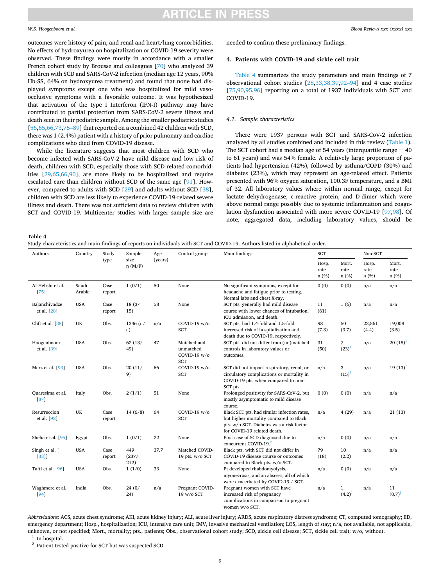### *W.S. Hoogenboom et al.*

outcomes were history of pain, and renal and heart/lung comorbidities. No effects of hydroxyurea on hospitalization or COVID-19 severity were observed. These findings were mostly in accordance with a smaller French cohort study by Brousse and colleagues [\[70](#page-13-0)] who analyzed 39 children with SCD and SARS-CoV-2 infection (median age 12 years, 90% Hb-SS, 64% on hydroxyurea treatment) and found that none had displayed symptoms except one who was hospitalized for mild vasoocclusive symptoms with a favorable outcome. It was hypothesized that activation of the type I Interferon (IFN-I) pathway may have contributed to partial protection from SARS-CoV-2 severe illness and death seen in their pediatric sample. Among the smaller pediatric studies [[56](#page-12-0)[,65,66](#page-13-0),[73,](#page-13-0)75–[89\]](#page-13-0) that reported on a combined 42 children with SCD, there was 1 (2.4%) patient with a history of prior pulmonary and cardiac complications who died from COVID-19 disease.

While the literature suggests that most children with SCD who become infected with SARS-CoV-2 have mild disease and low risk of death, children with SCD, especially those with SCD-related comorbidities [\[29](#page-12-0)[,65,66](#page-13-0),[90\]](#page-13-0), are more likely to be hospitalized and require escalated care than children without SCD of the same age [\[91](#page-13-0)]. However, compared to adults with SCD [\[29](#page-12-0)] and adults without SCD [\[38](#page-12-0)], children with SCD are less likely to experience COVID-19-related severe illness and death. There was not sufficient data to review children with SCT and COVID-19. Multicenter studies with larger sample size are

needed to confirm these preliminary findings.

### **4. Patients with COVID-19 and sickle cell trait**

Table 4 summarizes the study parameters and main findings of 7 observational cohort studies [[28,33,38,39](#page-12-0),92–[94\]](#page-13-0) and 4 case studies [[75,90,95](#page-13-0),[96\]](#page-13-0) reporting on a total of 1937 individuals with SCT and COVID-19.

### *4.1. Sample characteristics*

There were 1937 persons with SCT and SARS-CoV-2 infection analyzed by all studies combined and included in this review [\(Table 1](#page-4-0)). The SCT cohort had a median age of 54 years (interquartile range  $= 40$ to 61 years) and was 54% female. A relatively large proportion of patients had hypertension (42%), followed by asthma/COPD (30%) and diabetes (23%), which may represent an age-related effect. Patients presented with 96% oxygen saturation, 100.3F temperature, and a BMI of 32. All laboratory values where within normal range, except for lactate dehydrogenase, c-reactive protein, and D-dimer which were above normal range possibly due to systemic inflammation and coagulation dysfunction associated with more severe COVID-19 [\[97](#page-13-0),[98\]](#page-13-0). Of note, aggregated data, including laboratory values, should be

**Table 4** 

|  |  |  |  |  |  | Study characteristics and main findings of reports on individuals with SCT and COVID-19. Authors listed in alphabetical order. |
|--|--|--|--|--|--|--------------------------------------------------------------------------------------------------------------------------------|
|--|--|--|--|--|--|--------------------------------------------------------------------------------------------------------------------------------|

| Authors                      | Country         | Study          | Sample               | Age<br>(years) | Control group                                          | Main findings                                                                                                                                                    | SCT                   |                             | Non-SCT               |                        |
|------------------------------|-----------------|----------------|----------------------|----------------|--------------------------------------------------------|------------------------------------------------------------------------------------------------------------------------------------------------------------------|-----------------------|-----------------------------|-----------------------|------------------------|
|                              |                 | type           | size<br>n(M/F)       |                |                                                        |                                                                                                                                                                  | Hosp.<br>rate<br>n(%) | Mort.<br>rate<br>n(%)       | Hosp.<br>rate<br>n(%) | Mort.<br>rate<br>n (%) |
| Al-Hebshi et al.<br>[75]     | Saudi<br>Arabia | Case<br>report | 1(0/1)               | 50             | None                                                   | No significant symptoms, except for<br>headache and fatigue prior to testing.<br>Normal labs and chest X-ray.                                                    | 0(0)                  | 0(0)                        | n/a                   | n/a                    |
| Balanchivadze<br>et al. [28] | <b>USA</b>      | Case<br>report | 18(3/<br>15)         | 58             | None                                                   | SCT pts. generally had mild disease<br>course with lower chances of intubation,<br>ICU admission, and death.                                                     | 11<br>(61)            | 1(6)                        | n/a                   | n/a                    |
| Clift et al. [38]            | UK              | Obs.           | 1346 (n/<br>a)       | n/a            | COVID-19 w/o<br><b>SCT</b>                             | SCT pts. had 1.4-fold and 1.5-fold<br>increased risk of hospitalization and<br>death due to COVID-19, respectively.                                              | 98<br>(7.3)           | 50<br>(3.7)                 | 23,561<br>(4.4)       | 19,008<br>(3.5)        |
| Hoogenboom<br>et al. [39]    | <b>USA</b>      | Obs.           | 62(13/<br>49)        | 47             | Matched and<br>unmatched<br>COVID-19 w/o<br><b>SCT</b> | SCT pts. did not differ from (un)matched<br>controls in laboratory values or<br>outcomes.                                                                        | 31<br>(50)            | $7\overline{ }$<br>$(23)^1$ | n/a                   | $20(18)^1$             |
| Merz et al. [93]             | <b>USA</b>      | Obs.           | 20(11/<br>9)         | 66             | COVID-19 w/o<br><b>SCT</b>                             | SCT did not impact respiratory, renal, or<br>circulatory complications or mortality in<br>COVID-19 pts. when compared to non-<br>SCT pts.                        | n/a                   | 3<br>$(15)^1$               | n/a                   | $19(13)^1$             |
| Quaresima et al.<br>[87]     | Italy           | Obs.           | 2(1/1)               | 51             | None                                                   | Prolonged positivity for SARS-CoV-2, but<br>mostly asymptomatic to mild disease<br>course.                                                                       | 0(0)                  | 0(0)                        | n/a                   | n/a                    |
| Resurreccion<br>et al. [92]  | UK              | Case<br>report | 14(6/8)              | 64             | COVID-19 w/o<br><b>SCT</b>                             | Black SCT pts. had similar infection rates,<br>but higher mortality compared to Black<br>pts. w/o SCT. Diabetes was a risk factor<br>for COVID-19 related death. | n/a                   | 4(29)                       | n/a                   | 21 (13)                |
| Sheha et al. [95]            | Egypt           | Obs.           | 1(0/1)               | 22             | None                                                   | First case of SCD diagnosed due to<br>concurrent COVID-19. <sup>2</sup>                                                                                          | n/a                   | 0(0)                        | n/a                   | n/a                    |
| Singh et al. [<br>$[33]$     | <b>USA</b>      | Case<br>report | 449<br>(237/<br>212) | 37.7           | Matched COVID-<br>19 pts. $w/o$ SCT                    | Black pts. with SCT did not differ in<br>COVID-19 disease course or outcomes<br>compared to Black pts. w/o SCT.                                                  | 79<br>(18)            | 10<br>(2.2)                 | n/a                   | n/a                    |
| Tafti et al. [96]            | <b>USA</b>      | Obs.           | 1(1/0)               | 33             | None                                                   | Pt developed rhabdomyolysis,<br>myonecrosis, and an abscess, all of which<br>were exacerbated by COVID-19 / SCT.                                                 | n/a                   | 0(0)                        | n/a                   | n/a                    |
| Waghmere et al.<br>[94]      | India           | Obs.           | 24(0/<br>24)         | n/a            | Pregnant COVID-<br>19 w/o SCT                          | Pregnant women with SCT have<br>increased risk of pregnancy<br>complications in comparison to pregnant<br>women w/o SCT.                                         | n/a                   | $\mathbf{1}$<br>$(4.2)^1$   | n/a                   | 11<br>$(0.7)^1$        |

*Abbreviations:* ACS, acute chest syndrome; AKI, acute kidney injury; ALI, acute liver injury; ARDS, acute respiratory distress syndrome; CT, computed tomography; ED, emergency department; Hosp., hospitalization; ICU, intensive care unit; IMV, invasive mechanical ventilation; LOS, length of stay; n/a, not available, not applicable, unknown, or not specified; Mort., mortality; pts., patients; Obs., observational cohort study; SCD, sickle cell disease; SCT, sickle cell trait; w/o, without.<br><sup>1</sup> In-hospital. <br><sup>2</sup> Patient tested positive for SCT but was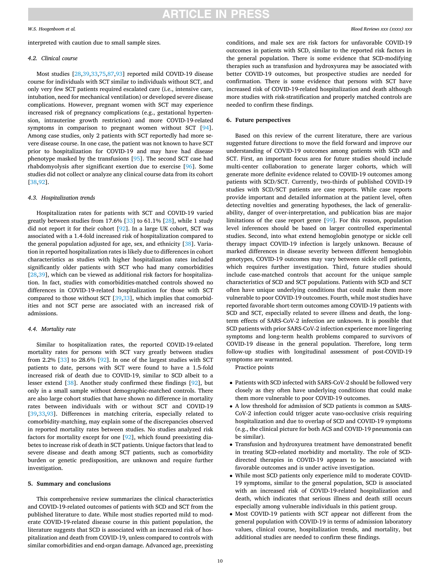### *W.S. Hoogenboom et al.*

# interpreted with caution due to small sample sizes.

# *4.2. Clinical course*

Most studies [[28,39,33](#page-12-0)[,75](#page-13-0),[87,93\]](#page-13-0) reported mild COVID-19 disease course for individuals with SCT similar to individuals without SCT, and only very few SCT patients required escalated care (i.e., intensive care, intubation, need for mechanical ventilation) or developed severe disease complications. However, pregnant women with SCT may experience increased risk of pregnancy complications (e.g., gestational hypertension, intrauterine growth restriction) and more COVID-19-related symptoms in comparison to pregnant women without SCT [\[94](#page-13-0)]. Among case studies, only 2 patients with SCT reportedly had more severe disease course. In one case, the patient was not known to have SCT prior to hospitalization for COVID-19 and may have had disease phenotype masked by the transfusions [[95\]](#page-13-0). The second SCT case had rhabdomyolysis after significant exertion due to exercise [\[96](#page-13-0)]. Some studies did not collect or analyze any clinical course data from its cohort [[38](#page-12-0)[,92](#page-13-0)].

# *4.3. Hospitalization trends*

Hospitalization rates for patients with SCT and COVID-19 varied greatly between studies from 17.6% [\[33](#page-12-0)] to 61.1% [[28\]](#page-12-0), while 1 study did not report it for their cohort [\[92](#page-13-0)]. In a large UK cohort, SCT was associated with a 1.4-fold increased risk of hospitalization compared to the general population adjusted for age, sex, and ethnicity [\[38](#page-12-0)]. Variation in reported hospitalization rates is likely due to differences in cohort characteristics as studies with higher hospitalization rates included significantly older patients with SCT who had many comorbidities [[28,39](#page-12-0)], which can be viewed as additional risk factors for hospitalization. In fact, studies with comorbidities-matched controls showed no differences in COVID-19-related hospitalization for those with SCT compared to those without SCT [[39,33\]](#page-12-0), which implies that comorbidities and not SCT perse are associated with an increased risk of admissions.

## *4.4. Mortality rate*

Similar to hospitalization rates, the reported COVID-19-related mortality rates for persons with SCT vary greatly between studies from 2.2%  $\left[33\right]$  to 28.6%  $\left[92\right]$  $\left[92\right]$  $\left[92\right]$ . In one of the largest studies with SCT patients to date, persons with SCT were found to have a 1.5-fold increased risk of death due to COVID-19, similar to SCD albeit to a lesser extend [[38\]](#page-12-0). Another study confirmed these findings [\[92](#page-13-0)], but only in a small sample without demographic-matched controls. There are also large cohort studies that have shown no difference in mortality rates between individuals with or without SCT and COVID-19 [[39,33](#page-12-0)[,93](#page-13-0)]. Differences in matching criteria, especially related to comorbidity-matching, may explain some of the discrepancies observed in reported mortality rates between studies. No studies analyzed risk factors for mortality except for one [\[92](#page-13-0)], which found preexisting diabetes to increase risk of death in SCT patients. Unique factors that lead to severe disease and death among SCT patients, such as comorbidity burden or genetic predisposition, are unknown and require further investigation.

### **5. Summary and conclusions**

This comprehensive review summarizes the clinical characteristics and COVID-19-related outcomes of patients with SCD and SCT from the published literature to date. While most studies reported mild to moderate COVID-19-related disease course in this patient population, the literature suggests that SCD is associated with an increased risk of hospitalization and death from COVID-19, unless compared to controls with similar comorbidities and end-organ damage. Advanced age, preexisting

conditions, and male sex are risk factors for unfavorable COVID-19 outcomes in patients with SCD, similar to the reported risk factors in the general population. There is some evidence that SCD-modifying therapies such as transfusion and hydroxyurea may be associated with better COVID-19 outcomes, but prospective studies are needed for confirmation. There is some evidence that persons with SCT have increased risk of COVID-19-related hospitalization and death although more studies with risk-stratification and properly matched controls are needed to confirm these findings.

### **6. Future perspectives**

Based on this review of the current literature, there are various suggested future directions to move the field forward and improve our understanding of COVID-19 outcomes among patients with SCD and SCT. First, an important focus area for future studies should include multi-center collaboration to generate larger cohorts, which will generate more definite evidence related to COVID-19 outcomes among patients with SCD/SCT. Currently, two-thirds of published COVID-19 studies with SCD/SCT patients are case reports. While case reports provide important and detailed information at the patient level, often detecting novelties and generating hypotheses, the lack of generalizability, danger of over-interpretation, and publication bias are major limitations of the case report genre [[99\]](#page-13-0). For this reason, population level inferences should be based on larger controlled experimental studies. Second, into what extend hemoglobin genotype or sickle cell therapy impact COVID-19 infection is largely unknown. Because of marked differences in disease severity between different hemoglobin genotypes, COVID-19 outcomes may vary between sickle cell patients, which requires further investigation. Third, future studies should include case-matched controls that account for the unique sample characteristics of SCD and SCT populations. Patients with SCD and SCT often have unique underlying conditions that could make them more vulnerable to poor COVID-19 outcomes. Fourth, while most studies have reported favorable short-term outcomes among COVID-19 patients with SCD and SCT, especially related to severe illness and death, the longterm effects of SARS-CoV-2 infection are unknown. It is possible that SCD patients with prior SARS-CoV-2 infection experience more lingering symptoms and long-term health problems compared to survivors of COVID-19 disease in the general population. Therefore, long term follow-up studies with longitudinal assessment of post-COVID-19 symptoms are warranted.

Practice points

- Patients with SCD infected with SARS-CoV-2 should be followed very closely as they often have underlying conditions that could make them more vulnerable to poor COVID-19 outcomes.
- A low threshold for admission of SCD patients is common as SARS-CoV-2 infection could trigger acute vaso-occlusive crisis requiring hospitalization and due to overlap of SCD and COVID-19 symptoms (e.g., the clinical picture for both ACS and COVID-19 pneumonia can be similar).
- Transfusion and hydroxyurea treatment have demonstrated benefit in treating SCD-related morbidity and mortality. The role of SCDdirected therapies in COVID-19 appears to be associated with favorable outcomes and is under active investigation.
- While most SCD patients only experience mild to moderate COVID-19 symptoms, similar to the general population, SCD is associated with an increased risk of COVID-19-related hospitalization and death, which indicates that serious illness and death still occurs especially among vulnerable individuals in this patient group.
- Most COVID-19 patients with SCT appear not different from the general population with COVID-19 in terms of admission laboratory values, clinical course, hospitalization trends, and mortality, but additional studies are needed to confirm these findings.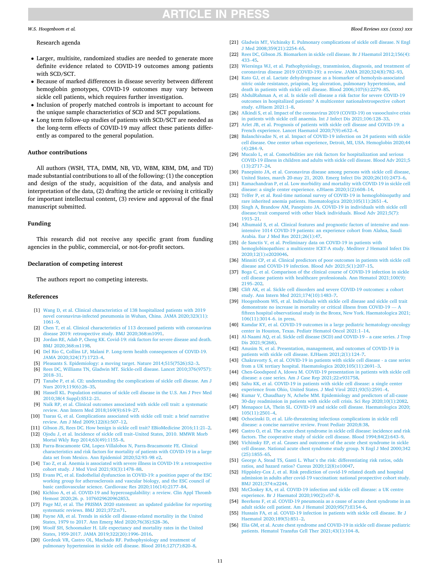# *Blood Reviews xxx (xxxx) xxx*

#### <span id="page-12-0"></span>*W.S. Hoogenboom et al.*

# Research agenda

- Larger, multisite, randomized studies are needed to generate more definite evidence related to COVID-19 outcomes among patients with SCD/SCT.
- Because of marked differences in disease severity between different hemoglobin genotypes, COVID-19 outcomes may vary between sickle cell patients, which requires further investigation.
- Inclusion of properly matched controls is important to account for the unique sample characteristics of SCD and SCT populations.
- Long term follow-up studies of patients with SCD/SCT are needed as the long-term effects of COVID-19 may affect these patients differently as compared to the general population.

### **Author contributions**

All authors (WSH, TTA, DMM, NB, VD, WBM, KBM, DM, and TD) made substantial contributions to all of the following: (1) the conception and design of the study, acquisition of the data, and analysis and interpretation of the data, (2) drafting the article or revising it critically for important intellectual content, (3) review and approval of the final manuscript submitted.

### **Funding**

This research did not receive any specific grant from funding agencies in the public, commercial, or not-for-profit sectors.

### **Declaration of competing interest**

The authors report no competing interests.

#### **References**

- [1] [Wang D, et al. Clinical characteristics of 138 hospitalized patients with 2019](http://refhub.elsevier.com/S0268-960X(21)00117-X/rf0005) [novel coronavirus-infected pneumonia in Wuhan, China. JAMA 2020;323\(11\):](http://refhub.elsevier.com/S0268-960X(21)00117-X/rf0005)  [1061](http://refhub.elsevier.com/S0268-960X(21)00117-X/rf0005)–9.
- [2] [Chen T, et al. Clinical characteristics of 113 deceased patients with coronavirus](http://refhub.elsevier.com/S0268-960X(21)00117-X/rf0010) [disease 2019: retrospective study. BMJ 2020;368:m1091](http://refhub.elsevier.com/S0268-960X(21)00117-X/rf0010).
- [3] [Jordan RE, Adab P, Cheng KK. Covid-19: risk factors for severe disease and death.](http://refhub.elsevier.com/S0268-960X(21)00117-X/rf0015)  [BMJ 2020;368:m1198.](http://refhub.elsevier.com/S0268-960X(21)00117-X/rf0015)
- [4] [Del Rio C, Collins LF, Malani P. Long-term health consequences of COVID-19.](http://refhub.elsevier.com/S0268-960X(21)00117-X/rf0020)  [JAMA 2020;324\(17\):1723](http://refhub.elsevier.com/S0268-960X(21)00117-X/rf0020)–4.
- [5] [Pleasants S. Epidemiology: a moving target. Nature 2014;515\(7526\):S2](http://refhub.elsevier.com/S0268-960X(21)00117-X/rf0025)–3.
- [6] [Rees DC, Williams TN, Gladwin MT. Sickle-cell disease. Lancet 2010;376\(9757\):](http://refhub.elsevier.com/S0268-960X(21)00117-X/rf0030)  [2018](http://refhub.elsevier.com/S0268-960X(21)00117-X/rf0030)–31.
- [7] [Tanabe P, et al. CE: understanding the complications of sickle cell disease. Am J](http://refhub.elsevier.com/S0268-960X(21)00117-X/rf0035)  [Nurs 2019;119\(6\):26](http://refhub.elsevier.com/S0268-960X(21)00117-X/rf0035)–35.
- [8] [Hassell KL. Population estimates of sickle cell disease in the U.S. Am J Prev Med](http://refhub.elsevier.com/S0268-960X(21)00117-X/rf0040)  [2010;38\(4 Suppl\):S512](http://refhub.elsevier.com/S0268-960X(21)00117-X/rf0040)–21.
- [9] [Naik RP, et al. Clinical outcomes associated with sickle cell trait: a systematic](http://refhub.elsevier.com/S0268-960X(21)00117-X/rf0045) [review. Ann Intern Med 2018;169\(9\):619](http://refhub.elsevier.com/S0268-960X(21)00117-X/rf0045)–27.
- [10] [Tsaras G, et al. Complications associated with sickle cell trait: a brief narrative](http://refhub.elsevier.com/S0268-960X(21)00117-X/rf0050) [review. Am J Med 2009;122\(6\):507](http://refhub.elsevier.com/S0268-960X(21)00117-X/rf0050)–12.
- [11] [Gibson JS, Rees DC. How benign is sickle cell trait? EBioMedicine 2016;11:21](http://refhub.elsevier.com/S0268-960X(21)00117-X/rf0055)–2.
- [12] [Ojodu J, et al. Incidence of sickle cell trait–United States, 2010. MMWR Morb](http://refhub.elsevier.com/S0268-960X(21)00117-X/rf0060) [Mortal Wkly Rep 2014;63\(49\):1155](http://refhub.elsevier.com/S0268-960X(21)00117-X/rf0060)–8.
- [13] [Parra-Bracamonte GM, Lopez-Villalobos N, Parra-Bracamonte FE. Clinical](http://refhub.elsevier.com/S0268-960X(21)00117-X/rf0065)  [characteristics and risk factors for mortality of patients with COVID-19 in a large](http://refhub.elsevier.com/S0268-960X(21)00117-X/rf0065)  [data set from Mexico. Ann Epidemiol 2020;52:93](http://refhub.elsevier.com/S0268-960X(21)00117-X/rf0065)–98 e2.
- [14] [Tao Z, et al. Anemia is associated with severe illness in COVID-19: a retrospective](http://refhub.elsevier.com/S0268-960X(21)00117-X/rf0070)  [cohort study. J Med Virol 2021;93\(3\):1478](http://refhub.elsevier.com/S0268-960X(21)00117-X/rf0070)–88.
- [15] [Evans PC, et al. Endothelial dysfunction in COVID-19: a position paper of the ESC](http://refhub.elsevier.com/S0268-960X(21)00117-X/rf0075)  [working group for atherosclerosis and vascular biology, and the ESC council of](http://refhub.elsevier.com/S0268-960X(21)00117-X/rf0075) [basic cardiovascular science. Cardiovasc Res 2020;116\(14\):2177](http://refhub.elsevier.com/S0268-960X(21)00117-X/rf0075)–84.
- [16] [Kichloo A, et al. COVID-19 and hypercoagulability: a review. Clin Appl Thromb](http://refhub.elsevier.com/S0268-960X(21)00117-X/rf0080) [Hemost 2020;26. p. 1076029620962853.](http://refhub.elsevier.com/S0268-960X(21)00117-X/rf0080)
- [17] [Page MJ, et al. The PRISMA 2020 statement: an updated guideline for reporting](http://refhub.elsevier.com/S0268-960X(21)00117-X/rf0085)  [systematic reviews. BMJ 2021;372:n71](http://refhub.elsevier.com/S0268-960X(21)00117-X/rf0085).
- [18] Payne AB, et al. Trends in sickle cell disease-related mortality in the United [States, 1979 to 2017. Ann Emerg Med 2020;76\(3S\):S28](http://refhub.elsevier.com/S0268-960X(21)00117-X/rf0090)–36.
- [19] [Woolf SH, Schoomaker H. Life expectancy and mortality rates in the United](http://refhub.elsevier.com/S0268-960X(21)00117-X/rf0095)  [States, 1959-2017. JAMA 2019;322\(20\):1996](http://refhub.elsevier.com/S0268-960X(21)00117-X/rf0095)–2016.
- [20] [Gordeuk VR, Castro OL, Machado RF. Pathophysiology and treatment of](http://refhub.elsevier.com/S0268-960X(21)00117-X/rf0100)  [pulmonary hypertension in sickle cell disease. Blood 2016;127\(7\):820](http://refhub.elsevier.com/S0268-960X(21)00117-X/rf0100)–8.
- [21] [Gladwin MT, Vichinsky E. Pulmonary complications of sickle cell disease. N Engl](http://refhub.elsevier.com/S0268-960X(21)00117-X/rf0105)  [J Med 2008;359\(21\):2254](http://refhub.elsevier.com/S0268-960X(21)00117-X/rf0105)–65.
- [22] [Rees DC, Gibson JS. Biomarkers in sickle cell disease. Br J Haematol 2012;156\(4\):](http://refhub.elsevier.com/S0268-960X(21)00117-X/rf0110)  [433](http://refhub.elsevier.com/S0268-960X(21)00117-X/rf0110)–45.
- [23] [Wiersinga WJ, et al. Pathophysiology, transmission, diagnosis, and treatment of](http://refhub.elsevier.com/S0268-960X(21)00117-X/rf0115)  [coronavirus disease 2019 \(COVID-19\): a review. JAMA 2020;324\(8\):782](http://refhub.elsevier.com/S0268-960X(21)00117-X/rf0115)–93.
- Kato GJ, et al. Lactate dehydrogenase as a biomarker of hemolysis-associated [nitric oxide resistance, priapism, leg ulceration, pulmonary hypertension, and](http://refhub.elsevier.com/S0268-960X(21)00117-X/rf0120)  [death in patients with sickle cell disease. Blood 2006;107\(6\):2279](http://refhub.elsevier.com/S0268-960X(21)00117-X/rf0120)–85.
- [25] [AbdulRahman A, et al. Is sickle cell disease a risk factor for severe COVID-19](http://refhub.elsevier.com/S0268-960X(21)00117-X/rf0125) [outcomes in hospitalized patients? A multicenter nationalretrospective cohort](http://refhub.elsevier.com/S0268-960X(21)00117-X/rf0125)  [study. eJHaem 2021:1](http://refhub.elsevier.com/S0268-960X(21)00117-X/rf0125)–8.
- [26] [Alkindi S, et al. Impact of the coronavirus 2019 \(COVID-19\) on vasooclusive crisis](http://refhub.elsevier.com/S0268-960X(21)00117-X/rf0130)  [in patients with sickle cell anaemia. Int J Infect Dis 2021;106:128](http://refhub.elsevier.com/S0268-960X(21)00117-X/rf0130)–33.
- [27] [Arlet JB, et al. Prognosis of patients with sickle cell disease and COVID-19: a](http://refhub.elsevier.com/S0268-960X(21)00117-X/rf0135) [French experience. Lancet Haematol 2020;7\(9\):e632](http://refhub.elsevier.com/S0268-960X(21)00117-X/rf0135)–4.
- [28] Balanchivadze N, et al. Impact of COVID-19 infection on 24 patients with sickle [cell disease. One center urban experience, Detroit, MI, USA. Hemoglobin 2020;44](http://refhub.elsevier.com/S0268-960X(21)00117-X/rf0140)  [\(4\):284](http://refhub.elsevier.com/S0268-960X(21)00117-X/rf0140)–9.
- [29] [Mucalo L, et al. Comorbidities are risk factors for hospitalization and serious](http://refhub.elsevier.com/S0268-960X(21)00117-X/rf0145) [COVID-19 illness in children and adults with sickle cell disease. Blood Adv 2021;5](http://refhub.elsevier.com/S0268-960X(21)00117-X/rf0145)  [\(13\):2717](http://refhub.elsevier.com/S0268-960X(21)00117-X/rf0145)–24.
- [30] [Panepinto JA, et al. Coronavirus disease among persons with sickle cell disease,](http://refhub.elsevier.com/S0268-960X(21)00117-X/rf0150) [United States, march 20-may 21, 2020. Emerg Infect Dis 2020;26\(10\):2473](http://refhub.elsevier.com/S0268-960X(21)00117-X/rf0150)–6.
- [31] [Ramachandran P, et al. Low morbidity and mortality with COVID-19 in sickle cell](http://refhub.elsevier.com/S0268-960X(21)00117-X/rf0155)  [disease: a single center experience. eJHaem 2020;1\(2\):608](http://refhub.elsevier.com/S0268-960X(21)00117-X/rf0155)–14.
- [32] [Telfer P, et al. Real-time national survey of COVID-19 in hemoglobinopathy and](http://refhub.elsevier.com/S0268-960X(21)00117-X/rf0160)  [rare inherited anemia patients. Haematologica 2020;105\(11\):2651](http://refhub.elsevier.com/S0268-960X(21)00117-X/rf0160)–4.
- [33] Singh A, Brandow AM, Panepinto JA. COVID-19 in individuals with sickle cell [disease/trait compared with other black individuals. Blood Adv 2021;5\(7\):](http://refhub.elsevier.com/S0268-960X(21)00117-X/rf0165) [1915](http://refhub.elsevier.com/S0268-960X(21)00117-X/rf0165)–21.
- [34] [Alhumaid S, et al. Clinical features and prognostic factors of intensive and non](http://refhub.elsevier.com/S0268-960X(21)00117-X/rf0170)[intensive 1014 COVID-19 patients: an experience cohort from Alahsa, Saudi](http://refhub.elsevier.com/S0268-960X(21)00117-X/rf0170) [Arabia. Eur J Med Res 2021;26\(1\):47](http://refhub.elsevier.com/S0268-960X(21)00117-X/rf0170).
- [35] [de Sanctis V, et al. Preliminary data on COVID-19 in patients with](http://refhub.elsevier.com/S0268-960X(21)00117-X/rf0175) [hemoglobinopathies: a multicentre ICET-A study. Mediterr J Hematol Infect Dis](http://refhub.elsevier.com/S0268-960X(21)00117-X/rf0175)  [2020;12\(1\):e2020046.](http://refhub.elsevier.com/S0268-960X(21)00117-X/rf0175)
- [36] [Minniti CP, et al. Clinical predictors of poor outcomes in patients with sickle cell](http://refhub.elsevier.com/S0268-960X(21)00117-X/rf0180)  [disease and COVID-19 infection. Blood Adv 2021;5\(1\):207](http://refhub.elsevier.com/S0268-960X(21)00117-X/rf0180)–15.
- [37] [Boga C, et al. Comparison of the clinical course of COVID-19 infection in sickle](http://refhub.elsevier.com/S0268-960X(21)00117-X/rf0185) [cell disease patients with healthcare professionals. Ann Hematol 2021;100\(9\):](http://refhub.elsevier.com/S0268-960X(21)00117-X/rf0185)  [2195](http://refhub.elsevier.com/S0268-960X(21)00117-X/rf0185)–202.
- [38] [Clift AK, et al. Sickle cell disorders and severe COVID-19 outcomes: a cohort](http://refhub.elsevier.com/S0268-960X(21)00117-X/rf0190) [study. Ann Intern Med 2021;174\(10\):1483](http://refhub.elsevier.com/S0268-960X(21)00117-X/rf0190)–7.
- [39] [Hoogenboom WS, et al. Individuals with sickle cell disease and sickle cell trait](http://refhub.elsevier.com/S0268-960X(21)00117-X/rf0195)  [demonstrate no increase in mortality or critical illness from COVID-19](http://refhub.elsevier.com/S0268-960X(21)00117-X/rf0195) — A [fifteen hospital observational study in the Bronx, New York. Haematologica 2021;](http://refhub.elsevier.com/S0268-960X(21)00117-X/rf0195)  [106\(11\):3014](http://refhub.elsevier.com/S0268-960X(21)00117-X/rf0195)–6. in press.
- [40] [Kamdar KY, et al. COVID-19 outcomes in a large pediatric hematology-oncology](http://refhub.elsevier.com/S0268-960X(21)00117-X/rf0205)  [center in Houston, Texas. Pediatr Hematol Oncol 2021:1](http://refhub.elsevier.com/S0268-960X(21)00117-X/rf0205)–14.
- [41] [Al-Naami AQ, et al. Sickle cell disease \(SCD\) and COVID-19](http://refhub.elsevier.com/S0268-960X(21)00117-X/rf0210)  a case series. J Trop [Dis 2021;9\(268\)](http://refhub.elsevier.com/S0268-960X(21)00117-X/rf0210).
- [42] [Anusim N, et al. Presentation, management, and outcomes of COVID-19 in](http://refhub.elsevier.com/S0268-960X(21)00117-X/rf0215) [patients with sickle cell disease. EJHaem 2021;2\(1\):124](http://refhub.elsevier.com/S0268-960X(21)00117-X/rf0215)–7.
- [43] [Chakravorty S, et al. COVID-19 in patients with sickle cell disease a case series](http://refhub.elsevier.com/S0268-960X(21)00117-X/rf0220)  [from a UK tertiary hospital. Haematologica 2020;105\(11\):2691](http://refhub.elsevier.com/S0268-960X(21)00117-X/rf0220)–3.
- [44] [Chen-Goodspeed A, Idowu M. COVID-19 presentation in patients with sickle cell](http://refhub.elsevier.com/S0268-960X(21)00117-X/rf0225)  [disease: a case series. Am J Case Rep 2021;22:e931758.](http://refhub.elsevier.com/S0268-960X(21)00117-X/rf0225)
- [45] [Sahu KK, et al. COVID-19 in patients with sickle cell disease: a single center](http://refhub.elsevier.com/S0268-960X(21)00117-X/rf0230)  [experience from Ohio, United States. J Med Virol 2021;93\(5\):2591](http://refhub.elsevier.com/S0268-960X(21)00117-X/rf0230)–4.
- [46] [Kumar V, Chaudhary N, Achebe MM. Epidemiology and predictors of all-cause](http://refhub.elsevier.com/S0268-960X(21)00117-X/rf0235)  [30-day readmission in patients with sickle cell crisis. Sci Rep 2020;10\(1\):2082](http://refhub.elsevier.com/S0268-960X(21)00117-X/rf0235).
- [47] [Menapace LA, Thein SL. COVID-19 and sickle cell disease. Haematologica 2020;](http://refhub.elsevier.com/S0268-960X(21)00117-X/rf0240)  [105\(11\):2501](http://refhub.elsevier.com/S0268-960X(21)00117-X/rf0240)–4.
- [48] [Ochocinski D, et al. Life-threatening infectious complications in sickle cell](http://refhub.elsevier.com/S0268-960X(21)00117-X/rf0245)  [disease: a concise narrative review. Front Pediatr 2020;8:38](http://refhub.elsevier.com/S0268-960X(21)00117-X/rf0245).
- [49] [Castro O, et al. The acute chest syndrome in sickle cell disease: incidence and risk](http://refhub.elsevier.com/S0268-960X(21)00117-X/rf0250)  [factors. The cooperative study of sickle cell disease. Blood 1994;84\(2\):643](http://refhub.elsevier.com/S0268-960X(21)00117-X/rf0250)–9.
- [50] [Vichinsky EP, et al. Causes and outcomes of the acute chest syndrome in sickle](http://refhub.elsevier.com/S0268-960X(21)00117-X/rf0255) [cell disease. National acute chest syndrome study group. N Engl J Med 2000;342](http://refhub.elsevier.com/S0268-960X(21)00117-X/rf0255)  [\(25\):1855](http://refhub.elsevier.com/S0268-960X(21)00117-X/rf0255)–65.
- [51] George A, Stead TS, Ganti L. What'[s the risk: differentiating risk ratios, odds](http://refhub.elsevier.com/S0268-960X(21)00117-X/rf0260) [ratios, and hazard ratios? Cureus 2020;12\(8\):e10047.](http://refhub.elsevier.com/S0268-960X(21)00117-X/rf0260)
- [52] [Hippisley-Cox J, et al. Risk prediction of covid-19 related death and hospital](http://refhub.elsevier.com/S0268-960X(21)00117-X/rf0265) [admission in adults after covid-19 vaccination: national prospective cohort study.](http://refhub.elsevier.com/S0268-960X(21)00117-X/rf0265)  [BMJ 2021;374:n2244](http://refhub.elsevier.com/S0268-960X(21)00117-X/rf0265).
- [53] [McCloskey KA, et al. COVID-19 infection and sickle cell disease: a UK centre](http://refhub.elsevier.com/S0268-960X(21)00117-X/rf0270) [experience. Br J Haematol 2020;190\(2\):e57](http://refhub.elsevier.com/S0268-960X(21)00117-X/rf0270)–8.
- [54] [Beerkens F, et al. COVID-19 pneumonia as a cause of acute chest syndrome in an](http://refhub.elsevier.com/S0268-960X(21)00117-X/rf0280)  [adult sickle cell patient. Am J Hematol 2020;95\(7\):E154](http://refhub.elsevier.com/S0268-960X(21)00117-X/rf0280)–6.
- [55] [Hussain FA, et al. COVID-19 infection in patients with sickle cell disease. Br J](http://refhub.elsevier.com/S0268-960X(21)00117-X/rf0285) [Haematol 2020;189\(5\):851](http://refhub.elsevier.com/S0268-960X(21)00117-X/rf0285)–2.
- [56] [Elia GM, et al. Acute chest syndrome and COVID-19 in sickle cell disease pediatric](http://refhub.elsevier.com/S0268-960X(21)00117-X/rf0290)  [patients. Hematol Transfus Cell Ther 2021;43\(1\):104](http://refhub.elsevier.com/S0268-960X(21)00117-X/rf0290)–8.